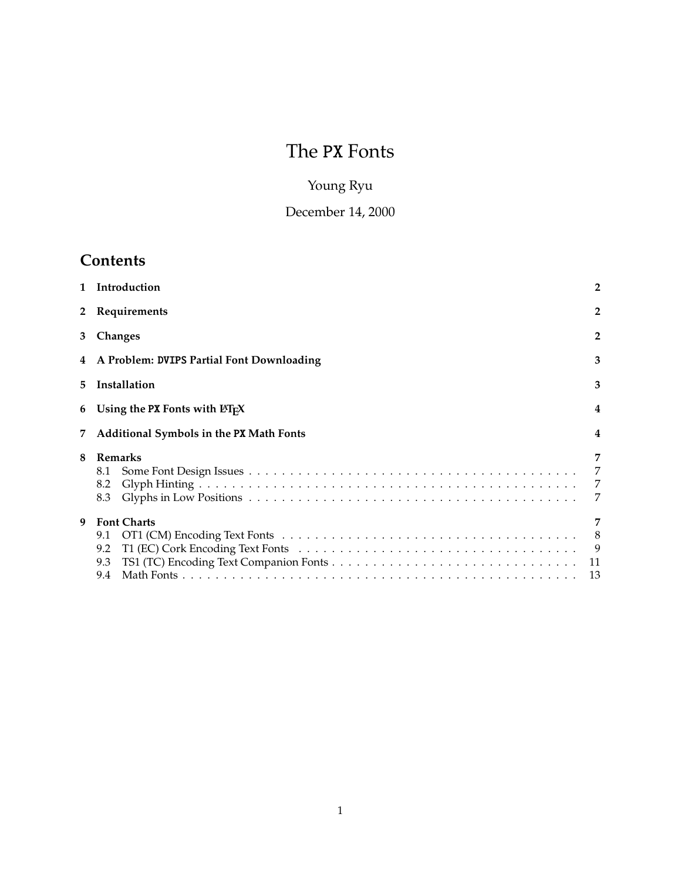# The PX Fonts

# Young Ryu

# December 14, 2000

# **Contents**

| $\mathbf{1}$ | Introduction                                   | $\overline{2}$                                      |  |  |  |  |  |  |  |  |  |  |  |  |  |
|--------------|------------------------------------------------|-----------------------------------------------------|--|--|--|--|--|--|--|--|--|--|--|--|--|
| $2^{\circ}$  | Requirements                                   | $\overline{2}$                                      |  |  |  |  |  |  |  |  |  |  |  |  |  |
| 3            | Changes                                        | $\overline{2}$                                      |  |  |  |  |  |  |  |  |  |  |  |  |  |
|              | 4 A Problem: DVIPS Partial Font Downloading    | 3                                                   |  |  |  |  |  |  |  |  |  |  |  |  |  |
| 5.           | Installation                                   |                                                     |  |  |  |  |  |  |  |  |  |  |  |  |  |
| 6            | Using the PX Fonts with $\text{ETr}X$          |                                                     |  |  |  |  |  |  |  |  |  |  |  |  |  |
| 7            | Additional Symbols in the PX Math Fonts        |                                                     |  |  |  |  |  |  |  |  |  |  |  |  |  |
| 8            | Remarks<br>8.1<br>8.2<br>8.3                   | 7<br>7<br>$\overline{7}$                            |  |  |  |  |  |  |  |  |  |  |  |  |  |
| 9            | <b>Font Charts</b><br>9.1<br>9.2<br>9.3<br>9.4 | $\overline{7}$<br>- 8<br>$\overline{9}$<br>11<br>13 |  |  |  |  |  |  |  |  |  |  |  |  |  |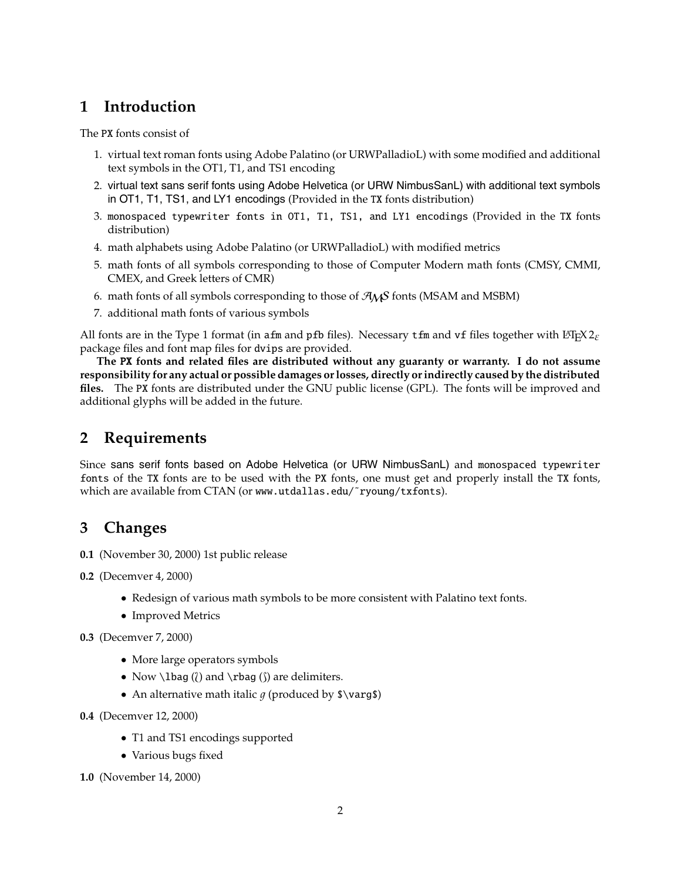## **1 Introduction**

The PX fonts consist of

- 1. virtual text roman fonts using Adobe Palatino (or URWPalladioL) with some modified and additional text symbols in the OT1, T1, and TS1 encoding
- 2. virtual text sans serif fonts using Adobe Helvetica (or URW NimbusSanL) with additional text symbols in OT1, T1, TS1, and LY1 encodings (Provided in the TX fonts distribution)
- 3. monospaced typewriter fonts in OT1, T1, TS1, and LY1 encodings (Provided in the TX fonts distribution)
- 4. math alphabets using Adobe Palatino (or URWPalladioL) with modified metrics
- 5. math fonts of all symbols corresponding to those of Computer Modern math fonts (CMSY, CMMI, CMEX, and Greek letters of CMR)
- 6. math fonts of all symbols corresponding to those of  $\mathcal{A}_{\mathcal{M}}\mathcal{S}$  fonts (MSAM and MSBM)
- 7. additional math fonts of various symbols

All fonts are in the Type 1 format (in afm and pfb files). Necessary tfm and vf files together with  $\text{ETr} \times 2_{\epsilon}$ package files and font map files for dvips are provided.

**The** PX **fonts and related files are distributed without any guaranty or warranty. I do not assume responsibility for any actual or possible damages or losses, directly or indirectly caused by the distributed files.** The PX fonts are distributed under the GNU public license (GPL). The fonts will be improved and additional glyphs will be added in the future.

# **2 Requirements**

Since sans serif fonts based on Adobe Helvetica (or URW NimbusSanL) and monospaced typewriter fonts of the TX fonts are to be used with the PX fonts, one must get and properly install the TX fonts, which are available from CTAN (or www.utdallas.edu/~ryoung/txfonts).

## **3 Changes**

- **0.1** (November 30, 2000) 1st public release
- **0.2** (Decemver 4, 2000)
	- Redesign of various math symbols to be more consistent with Palatino text fonts.
	- Improved Metrics
- **0.3** (Decemver 7, 2000)
	- More large operators symbols
	- Now  $\ldots$  (() and  $\tag{ }$  are delimiters.
	- An alternative math italic  $q$  (produced by  $\varphi$ )

**0.4** (Decemver 12, 2000)

- T1 and TS1 encodings supported
- Various bugs fixed

**1.0** (November 14, 2000)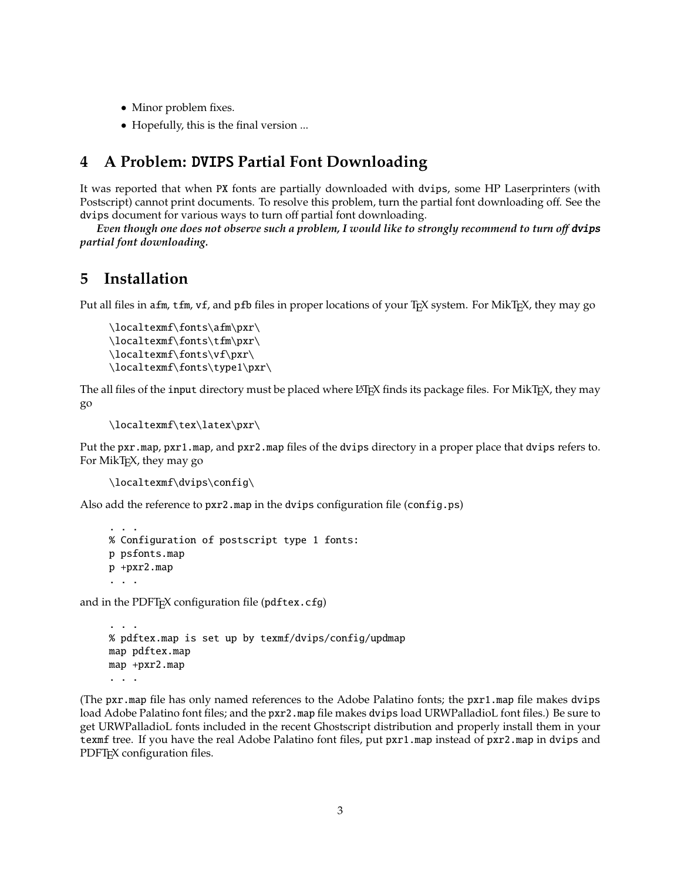- Minor problem fixes.
- Hopefully, this is the final version ...

## **4 A Problem:** DVIPS **Partial Font Downloading**

It was reported that when PX fonts are partially downloaded with dvips, some HP Laserprinters (with Postscript) cannot print documents. To resolve this problem, turn the partial font downloading off. See the dvips document for various ways to turn off partial font downloading.

*Even though one does not observe such a problem, I would like to strongly recommend to turn off dvips partial font downloading.*

## **5 Installation**

Put all files in afm, tfm, vf, and pfb files in proper locations of your T<sub>E</sub>X system. For MikT<sub>E</sub>X, they may go

```
\localtexmf\fonts\afm\pxr\
\localtexmf\fonts\tfm\pxr\
\localtexmf\fonts\vf\pxr\
\localtexmf\fonts\type1\pxr\
```
The all files of the input directory must be placed where LATEX finds its package files. For MikTEX, they may go

```
\localtexmf\tex\latex\pxr\
```
Put the pxr.map, pxr1.map, and pxr2.map files of the dvips directory in a proper place that dvips refers to. For MikT<sub>E</sub>X, they may go

```
\localtexmf\dvips\config\
```
Also add the reference to pxr2.map in the dvips configuration file (config.ps)

```
...
% Configuration of postscript type 1 fonts:
p psfonts.map
p +pxr2.map
...
```
and in the PDFT<sub>F</sub>X configuration file ( $pdftextrm{ex.cfg}$ )

```
...
% pdftex.map is set up by texmf/dvips/config/updmap
map pdftex.map
map +pxr2.map
...
```
(The pxr.map file has only named references to the Adobe Palatino fonts; the pxr1.map file makes dvips load Adobe Palatino font files; and the pxr2.map file makes dvips load URWPalladioL font files.) Be sure to get URWPalladioL fonts included in the recent Ghostscript distribution and properly install them in your texmf tree. If you have the real Adobe Palatino font files, put pxr1.map instead of pxr2.map in dvips and PDFT<sub>E</sub>X configuration files.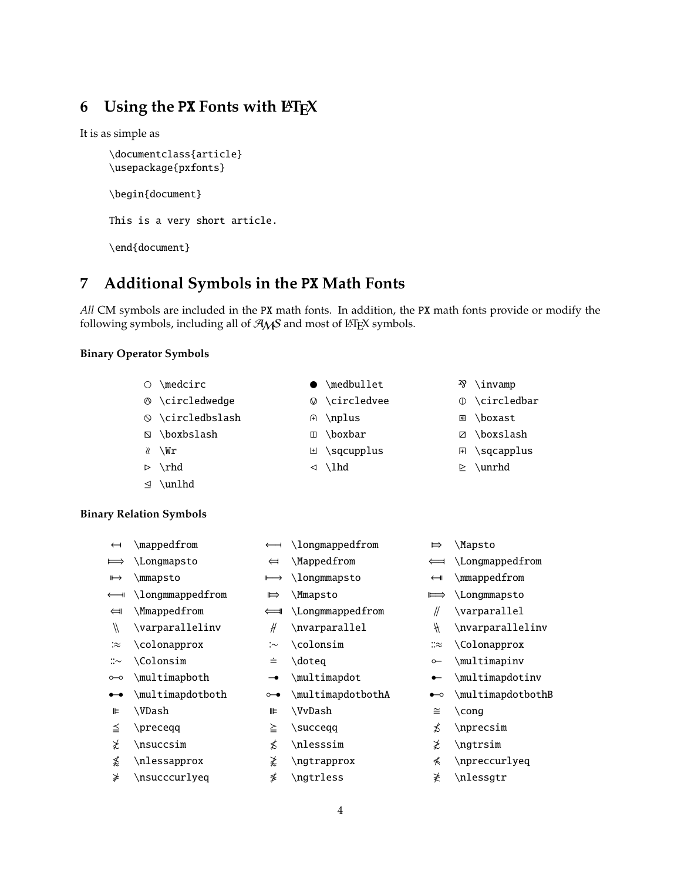# **6 Using the** PX **Fonts with LATEX**

It is as simple as

\documentclass{article} \usepackage{pxfonts}

\begin{document}

This is a very short article.

\end{document}

# **7 Additional Symbols in the** PX **Math Fonts**

*All* CM symbols are included in the PX math fonts. In addition, the PX math fonts provide or modify the following symbols, including all of  $A_{M}S$  and most of LHEX symbols.

#### **Binary Operator Symbols**

- $\circ$  \medcirc  $\bullet$  \medbullet  $\mathcal{P}$  \invamp  $\circ$  \circledwedge  $\circ$  \circledvee  $\circ$  \circledbar  $\circ$  \circledbslash  $\circ$
- \boxbslash \boxbar \boxslash
- $\ell$  \Wr
- $\triangleright \ \rho$
- 
- $\leq \nu$ nlhd

## **Binary Relation Symbols**

← \mappedfrom ←− \longmappedfrom ⇒ \Mapsto =⇒ \Longmapsto ⇐ \Mappedfrom ⇐= \Longmappedfrom → \mmapsto −→ \longmmapsto ← \mmappedfrom ←− \longmmappedfrom ⇒ \Mmapsto =⇒ \Longmmapsto ⇐ \Mmappedfrom ⇐= \Longmmappedfrom ∥ \varparallel  $\sqrt{ }$  $\vartheta$ llelinv  $\# \vartheta$  \nvarparallel  $\# \vartheta$ ∶≈  $\colon$   $\infty$   $\infty$   $\infty$   $\infty$   $\infty$  $\therefore$  \Colonsim  $\Rightarrow$  \doteq  $\circ$  \multimapinv  $\circ$  \multimapboth  $\rightarrow$  \multimapdot  $\bullet$  \multimapdotinv  $\bullet$  $\mathcal{O}\mathcal{O}$  \multimapdotboth  $\circ \rightarrow \mathcal{O}$  \multimapdotbothB  $\blacksquare$  $\text{#} \quad \text{VvDash} \quad \cong \ \text{cong}$  $\leq$   $\langle$   $\rangle \geq$   $\langle$   $\rangle \geq$   $\langle$   $\rangle \geq$   $\langle$   $\rangle \geq$   $\langle$   $\rangle \geq$   $\langle$   $\rangle \geq$   $\langle$   $\rangle \geq$   $\langle$   $\rangle \geq$   $\langle$   $\rangle \geq$   $\langle$   $\rangle \geq$   $\langle$   $\rangle \geq$   $\langle$   $\rangle \geq$   $\langle$   $\rangle \geq$   $\langle$   $\rangle \geq$   $\langle$   $\rangle \geq$   $\langle$   $\rangle \geq$   $\langle$   $\r$  $\sharp$  \nsuccsim  $\sharp$  \nlesssim  $\sharp$  \ngtrsim  $\not\leq$  $\label{eq:1}$   $\lambda$   $\geq$   $\lambda$   $\geq$   $\alpha$   $\leq$   $\alpha$   $\leq$   $\alpha$  $\neq$  $\infty$ ccurlyeq  $\oint$  \ngtrless  $\neq$  \nlessgtr

- 
- 
- A \nplus B \boxast
	-
- **H** \sqcupplus **A** \sqcapplus
- $\triangle$  \lhd  $\triangle$  \unrhd

- 
- 
- 
- 
- 
-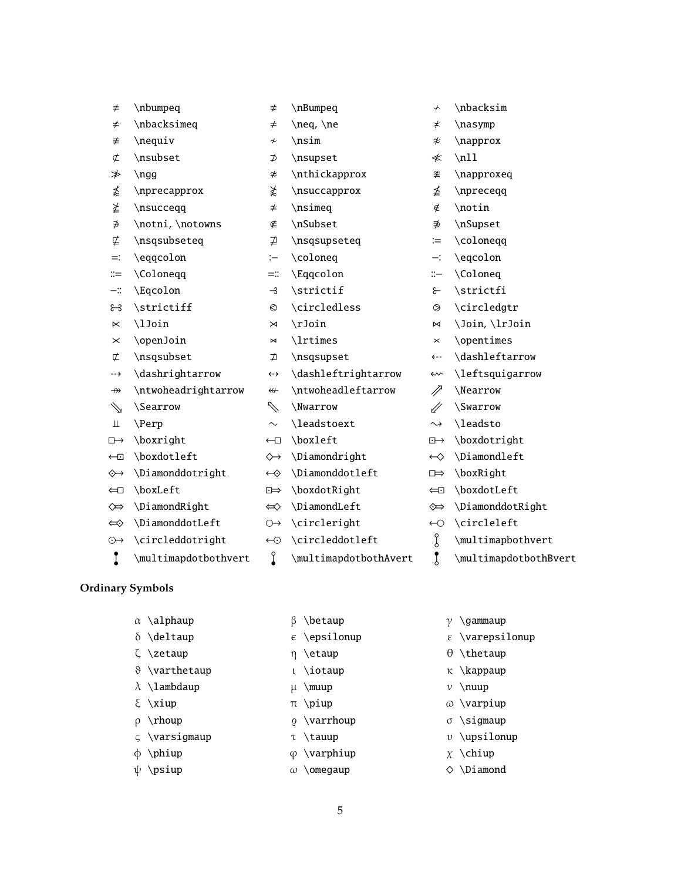| $\neq$                | \nbumpeq               | $\neq$                             | \nBumpeq              | $\downarrow$          | \nbacksim             |
|-----------------------|------------------------|------------------------------------|-----------------------|-----------------------|-----------------------|
| ≠                     | \nbacksimeq            | $\neq$                             | \neq, \ne             | $\neq$                | \nasymp               |
| ≢                     | \nequiv                | $\boldsymbol{\not\sim}$            | \nsim                 | $\approx$             | \napprox              |
| ¢                     | \nsubset               | ⊅                                  | \nsupset              | ≮                     | $\n\t\ldots$          |
| ≯                     | $\ngg$                 | $\boldsymbol{\varkappa}$           | \nthickapprox         | ≉                     | \napproxeq            |
| ≴                     | \nprecapprox           | ≵                                  | \nsuccapprox          | ≰                     | \npreceqq             |
| ≱                     | \nsucceqq              | $\neq$                             | \nsimeq               | ∉                     | \notin                |
| ∌                     | \notni, \notowns       | ∉                                  | \nSubset              | ∌                     | \nSupset              |
| ⋢                     | \nsqsubseteq           | ⋣                                  | \nsqsupseteq          | $\coloneqq$           | \coloneqq             |
| $=$ :                 | \eqqcolon              | :                                  | \coloneq              | ≕:                    | \eqcolon              |
| $::=$                 | \Coloneqq              | ≕∷                                 | \Eqqcolon             | $\mathrel{\mathop:}=$ | \Coloneq              |
| $-\mathrel{\mathop:}$ | \Eqcolon               | $\rightarrow$                      | \strictif             | $\epsilon$            | \strictfi             |
| ೫                     | \strictiff             | $\circ$                            | \circledless          | $\circledcirc$        | \circledgtr           |
| $\ltimes$             | \lJoin                 | $\bowtie$                          | \rJoin                | $\bowtie$             | \Join, \lrJoin        |
| $\times$              | \openJoin              | $\bowtie$                          | \lrtimes              | $\pmb{\times}$        | \opentimes            |
| 亡                     | \nsqsubset             | ⊅                                  | \nsqsupset            | ← →                   | \dashleftarrow        |
| --→                   | \dashrightarrow        | $\left\langle \cdot \right\rangle$ | \dashleftrightarrow   | ⇜                     | \leftsquigarrow       |
| $\nrightarrow$        | \ntwoheadrightarrow    | $\leftarrow$                       | \ntwoheadleftarrow    | //                    | \Nearrow              |
| ⇘                     | <i><b>\Searrow</b></i> | $\nearrow$                         | \Nwarrow              | $\mathscr{U}$         | <i><b>Swarrow</b></i> |
| Щ                     | \Perp                  | $\sim$                             | \leadstoext           | $\rightsquigarrow$    | \leadsto              |
| $\Box \rightarrow$    | \boxright              | $\leftarrow$                       | \boxleft              | $\overline{E}$        | \boxdotright          |
| $\leftarrow$          | \boxdotleft            | $\leftrightarrow$                  | \Diamondright         | $\leftrightarrow$     | \Diamondleft          |
| $\diamond\rightarrow$ | \Diamonddotright       | $\leftrightarrow$                  | \Diamonddotleft       | $\Rightarrow$         | \boxRight             |
| $\Longleftarrow$      | \boxLeft               | $\Box$                             | \boxdotRight          | $\Longleftrightarrow$ | \boxdotLeft           |
| $\Leftrightarrow$     | \DiamondRight          | $\Leftrightarrow$                  | \DiamondLeft          | ⇎                     | \DiamonddotRight      |
| $\Leftrightarrow$     | \DiamonddotLeft        | $\leftrightarrow$                  | \circleright          | $\leftarrow$          | \circleleft           |
| $\odot \rightarrow$   | \circleddotright       | $\odot$                            | \circleddotleft       | g                     | \multimapbothvert     |
| Î                     | \multimapdotbothvert   | $\int$                             | \multimapdotbothAvert | $\mathbf{r}$          | \multimapdotbothBvert |

## **Ordinary Symbols**

- 
- 
- 
- ϑ \varthetaup ι \iotaup κ \kappaup
- $λ \lambda up \wedge v \nuup$
- 
- 
- ς \varsigmaup  $τ \tau \tau$  νarsigmaup  $τ \tau$
- 
- 
- 
- 
- 
- 
- 
- 
- $ρ \rho\no \sigma \sigma\no \sigma$ 
	-
- φ \phiup  $\phi$  \varphiup  $\chi$  \chiup
	-
- α \alphaup  $\beta$  \betaup  $\gamma$  \gammaup
- δ \deltaup  $\epsilon$  \epsilonup  $\epsilon$  \warepsilonup
- $ζ \zeta \$  +  $η \setminus \text{e} \setminus \theta$  +  $θ \setminus \text{t}$ 
	-
	-
- ξ  $xiup$   $π$   $piup$   $ω$   $varpiup$ 
	-
	-
	-
- $ψ \psi \rightarrow ω \omega$  \omegaup  $\Diamond \phi$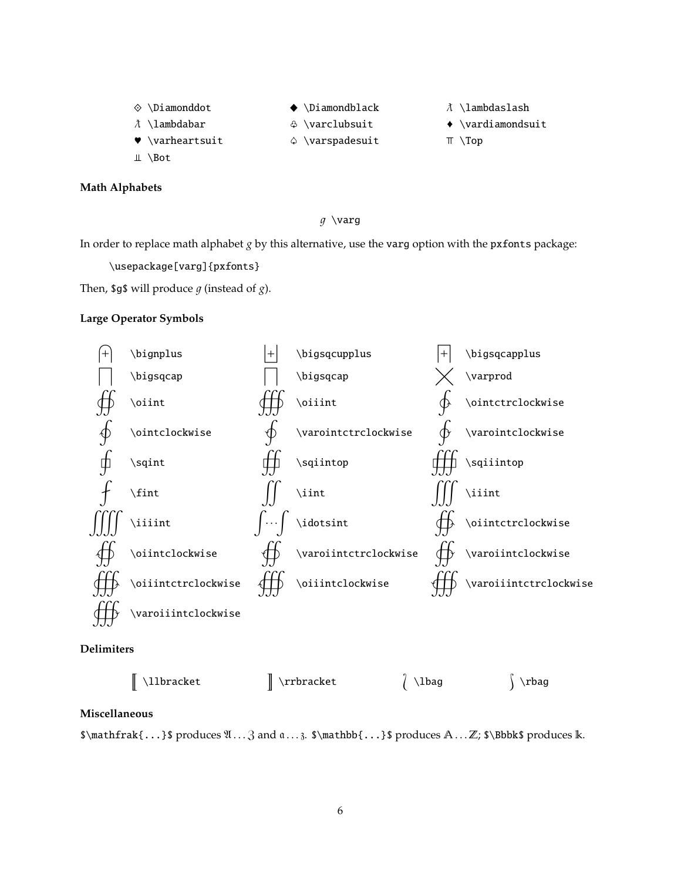♦ \Diamonddot  $\hbar$  \lambdabar

 $\blacklozenge \Delta$  \Diamondblack  $\lambda$  \lambdaslash

- $\triangle$  \varclubsuit  $\longrightarrow$  \vardiamondsuit
- $\Diamond \varphi$  \varspadesuit  $\top \varphi$
- 
- -
- $\blacktriangleright$  \varheartsuit
- $\perp \setminus$ Bot

#### **Math Alphabets**

#### $g \vee \arg$

In order to replace math alphabet *g* by this alternative, use the varg option with the pxfonts package:

\usepackage[varg]{pxfonts}

Then, \$9\$ will produce  $g$  (instead of  $g$ ).

#### **Large Operator Symbols**



**Delimiters**

| $\parallel$ \llbracket | $\parallel$ \rrbracket | $/$ \lbag | $\rangle$ \rbag |
|------------------------|------------------------|-----------|-----------------|
|                        |                        |           |                 |

#### **Miscellaneous**

 $\mathbf{...}$  produces  $\ldots, 3$  and  $\ldots, \mathbf{...}$  produces  $\ldots$   $\mathbb{...}$ ;  $\boldsymbol{\cdot}$  and  $\ldots, \boldsymbol{\cdot}$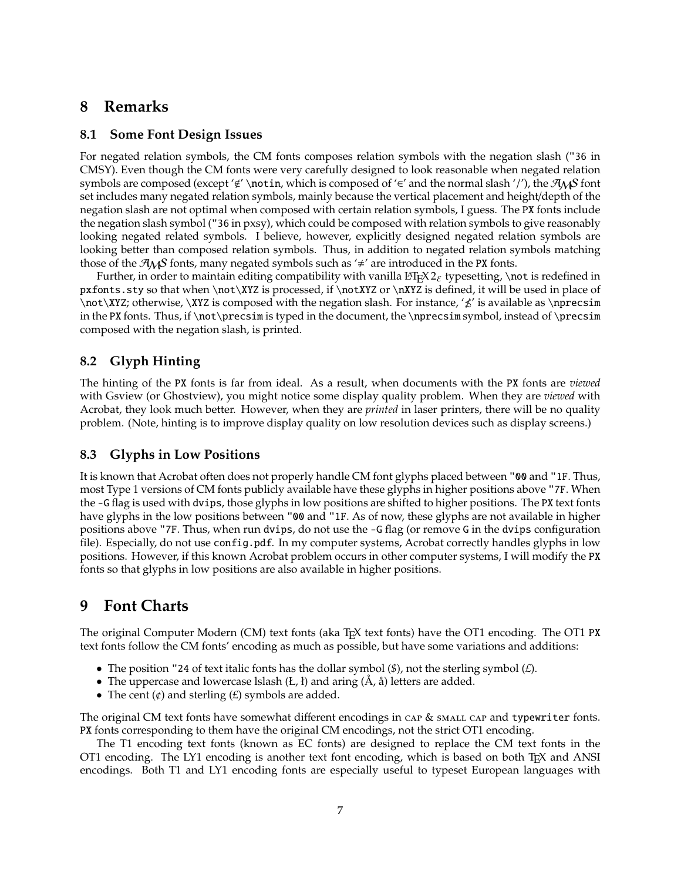## **8 Remarks**

#### **8.1 Some Font Design Issues**

For negated relation symbols, the CM fonts composes relation symbols with the negation slash ("36 in CMSY). Even though the CM fonts were very carefully designed to look reasonable when negated relation symbols are composed (except ' $\notin'$  \notin, which is composed of ' $\in'$  and the normal slash '/'), the  $\mathcal{A}_{\mathcal{N}}$ S font set includes many negated relation symbols, mainly because the vertical placement and height/depth of the negation slash are not optimal when composed with certain relation symbols, I guess. The PX fonts include the negation slash symbol ("36 in pxsy), which could be composed with relation symbols to give reasonably looking negated related symbols. I believe, however, explicitly designed negated relation symbols are looking better than composed relation symbols. Thus, in addition to negated relation symbols matching those of the  $A_{\mathcal{M}}$ S fonts, many negated symbols such as ' $\neq$ ' are introduced in the PX fonts.

Further, in order to maintain editing compatibility with vanilla LATEX  $2_{\epsilon}$  typesetting, \not is redefined in pxfonts.sty so that when \not\XYZ is processed, if \notXYZ or \nXYZ is defined, it will be used in place of  $\not\ XYZ$ ; otherwise,  $\XXZ$  is composed with the negation slash. For instance, ' $\&$ ' is available as  $\n\rightharpoonup$ nprecsim in the PX fonts. Thus, if \not\precsim is typed in the document, the \nprecsim symbol, instead of \precsim composed with the negation slash, is printed.

## **8.2 Glyph Hinting**

The hinting of the PX fonts is far from ideal. As a result, when documents with the PX fonts are *viewed* with Gsview (or Ghostview), you might notice some display quality problem. When they are *viewed* with Acrobat, they look much better. However, when they are *printed* in laser printers, there will be no quality problem. (Note, hinting is to improve display quality on low resolution devices such as display screens.)

## **8.3 Glyphs in Low Positions**

It is known that Acrobat often does not properly handle CM font glyphs placed between "00 and "1F. Thus, most Type 1 versions of CM fonts publicly available have these glyphs in higher positions above "7F. When the -G flag is used with dvips, those glyphs in low positions are shifted to higher positions. The PX text fonts have glyphs in the low positions between "00 and "1F. As of now, these glyphs are not available in higher positions above "7F. Thus, when run dvips, do not use the -G flag (or remove G in the dvips configuration file). Especially, do not use config.pdf. In my computer systems, Acrobat correctly handles glyphs in low positions. However, if this known Acrobat problem occurs in other computer systems, I will modify the PX fonts so that glyphs in low positions are also available in higher positions.

## **9 Font Charts**

The original Computer Modern (CM) text fonts (aka T<sub>E</sub>X text fonts) have the OT1 encoding. The OT1 PX text fonts follow the CM fonts' encoding as much as possible, but have some variations and additions:

- The position "24 of text italic fonts has the dollar symbol (*\$*), not the sterling symbol (*£*).
- The uppercase and lowercase lslash  $(L, t)$  and aring  $(A, \aa)$  letters are added.
- The cent  $(\phi)$  and sterling  $(E)$  symbols are added.

The original CM text fonts have somewhat different encodings in  $\alpha P \& \beta P$  small cap and typewriter fonts. PX fonts corresponding to them have the original CM encodings, not the strict OT1 encoding.

The T1 encoding text fonts (known as EC fonts) are designed to replace the CM text fonts in the OT1 encoding. The LY1 encoding is another text font encoding, which is based on both  $T<sub>E</sub>X$  and ANSI encodings. Both T1 and LY1 encoding fonts are especially useful to typeset European languages with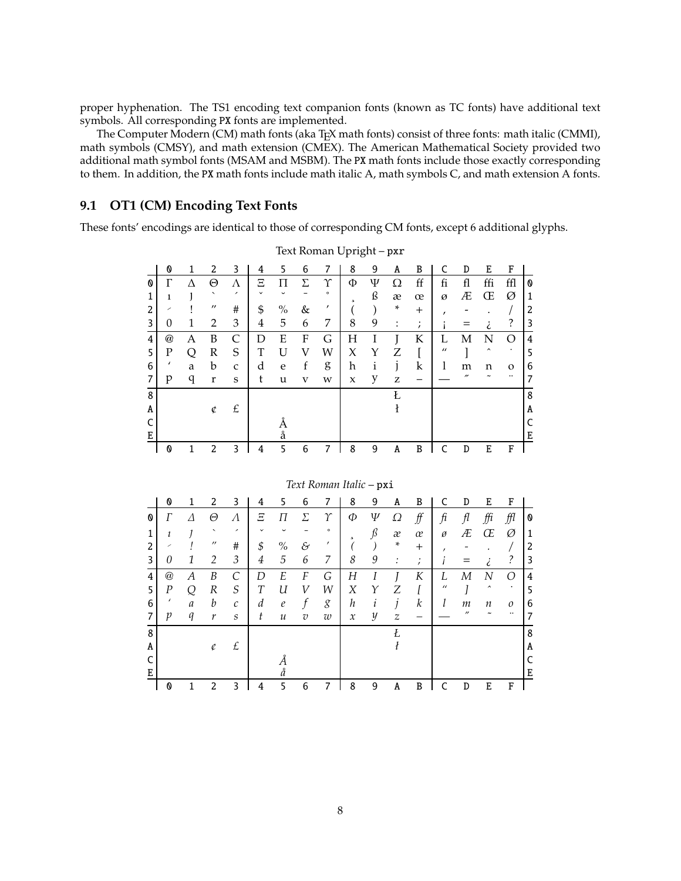proper hyphenation. The TS1 encoding text companion fonts (known as TC fonts) have additional text symbols. All corresponding PX fonts are implemented.

The Computer Modern (CM) math fonts (aka TEX math fonts) consist of three fonts: math italic (CMMI), math symbols (CMSY), and math extension (CMEX). The American Mathematical Society provided two additional math symbol fonts (MSAM and MSBM). The PX math fonts include those exactly corresponding to them. In addition, the PX math fonts include math italic A, math symbols C, and math extension A fonts.

#### **9.1 OT1 (CM) Encoding Text Fonts**

These fonts' encodings are identical to those of corresponding CM fonts, except 6 additional glyphs.

|   | 0        | 1 | 2                        | 3            | 4              | 5    | 6 | 7                       | 8                   | 9 | A                  | B           | C                | D                        | E                   | F         |   |
|---|----------|---|--------------------------|--------------|----------------|------|---|-------------------------|---------------------|---|--------------------|-------------|------------------|--------------------------|---------------------|-----------|---|
| Ø | $\Gamma$ | Л | Θ                        | Λ            | Ξ              | П    | Σ | Υ                       | Φ                   | Ψ | Ω                  | ff          | fi               | fl                       | ffi                 | ffl       | Ø |
| 1 | 1        |   | ↖                        | ,            |                |      |   | $\circ$                 | 5                   | ß | æ                  | œ           | Ø                | Æ                        | Œ                   | Ø         | 1 |
| 2 |          |   | $^{\prime\prime}$        | #            | \$             | $\%$ | & | ,                       |                     |   | ×.                 | $^{+}$      | $\prime$         |                          |                     |           | 2 |
| 3 | 0        | 1 | 2                        | 3            | 4              | 5    | 6 | 7                       | 8                   | 9 | :                  | $\prime$    |                  |                          | i                   | ?         | 3 |
| 4 | @        | А | B                        | $\mathsf{C}$ | D              | E    | F | G                       | H                   | I |                    | K           | L                | M                        | N                   | O         | 4 |
| 5 | P        | Q | R                        | S            | T              | U    | V | W                       | X                   | Y | Z                  | I           | $\prime\prime$   |                          | $\hat{\phantom{a}}$ | $\bullet$ | 5 |
| 6 |          | a | b                        | $\mathbf{C}$ | d              | e    | f | g                       | h                   | i | 1                  | $\mathbf k$ | 1                | m                        | n                   | $\Omega$  | 6 |
| 7 | p        | q | r                        | S            | t              | u    | V | W                       | $\boldsymbol{\chi}$ | y | Z                  |             |                  | $\overline{\phantom{a}}$ |                     | $\cdots$  | 7 |
| 8 |          |   |                          |              |                |      |   |                         |                     |   | Ł                  |             |                  |                          |                     |           | 8 |
| A |          |   | ¢                        | £            |                |      |   |                         |                     |   | $\pmb{\mathrm{t}}$ |             |                  |                          |                     |           | A |
| C |          |   |                          |              |                | Å    |   |                         |                     |   |                    |             |                  |                          |                     |           | C |
| E |          |   |                          |              |                | å    |   |                         |                     |   |                    |             |                  |                          |                     |           | E |
|   | 0        | 1 | 2                        | 3            | $\overline{4}$ | 5    | 6 | 7                       | 8                   | 9 | A                  | B           | C                | D                        | E                   | F         |   |
|   |          |   |                          |              |                |      |   |                         |                     |   |                    |             |                  |                          |                     |           |   |
|   |          |   |                          |              |                |      |   | Text Roman Italic - pxi |                     |   |                    |             |                  |                          |                     |           |   |
|   | 0        | 1 | 2                        | 3            | 4              | 5    | 6 | 7                       | 8                   | 9 | A                  | B           | C                | D                        | E                   | F         |   |
|   |          |   |                          |              |                |      |   |                         |                     |   |                    |             |                  |                          |                     |           |   |
| O | $\Gamma$ | Λ | Θ                        | Λ            | Ξ              | П    | Σ | $\gamma$                | Ф                   | Ψ | Ω                  | f f         | $\mathfrak{f}$ i | f <sub>l</sub>           | ffi                 | ffl       | 0 |
| 1 | ı        |   | $\overline{\phantom{a}}$ |              |                |      |   | $\circ$                 | $\mathfrak{p}$      | ß | æ                  | œ           | ø                | Æ                        | Œ                   | Ø         | 1 |
| 2 |          |   | $^{\prime\prime}$        | #            | \$             | $\%$ | & | $\prime$                |                     |   | $\ast$             | $^{+}$      |                  |                          |                     |           | 2 |

Text Roman Upright – pxr

|   |                           |   |                   |                          |             |               |                | Text Roman Italic – px1 |               |   |                  |                     |                |                   |                     |           |   |
|---|---------------------------|---|-------------------|--------------------------|-------------|---------------|----------------|-------------------------|---------------|---|------------------|---------------------|----------------|-------------------|---------------------|-----------|---|
|   | 0                         | 1 | 2                 | 3                        | 4           | 5             | 6              |                         | 8             | 9 | A                | B                   | C              | D                 | E                   | F         |   |
| 0 | Г                         | Δ | Θ                 | Λ                        | Ξ           | П             | Σ              | Υ                       | Ф             | Ψ | Ω                | $f\hspace{-0.1cm}f$ | fi             | fl                | ffi                 | ffl       | 0 |
| 1 | 1                         |   | $\checkmark$      | $\overline{\phantom{a}}$ | $\check{~}$ | $\check{ }$   |                | $\circ$                 | 5             | ß | æ                | œ                   | Ø              | Æ                 | Œ                   | Ø         | 1 |
| 2 | ╱                         |   | $^{\prime\prime}$ | #                        | \$          | $\%$          | &              | ,                       |               |   | $\ast$           | $^{+}$              | ,              |                   |                     |           | 2 |
| 3 | 0                         | 1 | 2                 | 3                        | 4           | 5             | 6              | 7                       | 8             | 9 | :                | ٠<br>$\mathbf{r}$   |                |                   | ٠                   | ?         | 3 |
| 4 | $^\text{\textregistered}$ | А | B                 | С                        | D           | E             | $\cal F$       | G                       | Η             |   |                  | K                   | L              | М                 | N                   | ∩         | 4 |
| 5 | $\cal P$                  | ∩ | $\boldsymbol{R}$  | S                        | T           | U             | V              | W                       | Χ             | Υ | Ζ                |                     | $\prime\prime$ |                   | $\hat{\phantom{a}}$ | $\bullet$ | 5 |
| 6 | $\epsilon$                | a | b                 | $\mathcal{C}_{0}$        | d           | $\ell$        | f              | g                       | h             | ı | $\mathbf{1}$     | $\boldsymbol{k}$    |                | т                 | п                   | 0         | 6 |
| 7 | р                         | q | $\boldsymbol{r}$  | S                        | t           | $\mathcal{U}$ | $\overline{v}$ | w                       | $\mathcal{X}$ | y | $\boldsymbol{z}$ |                     |                | $^{\prime\prime}$ |                     |           | 7 |
| 8 |                           |   |                   |                          |             |               |                |                         |               |   | Ł                |                     |                |                   |                     |           | 8 |
| A |                           |   | ¢                 | £                        |             |               |                |                         |               |   |                  |                     |                |                   |                     |           | A |
| C |                           |   |                   |                          |             | А             |                |                         |               |   |                  |                     |                |                   |                     |           | C |
| E |                           |   |                   |                          |             | å             |                |                         |               |   |                  |                     |                |                   |                     |           | Е |
|   | 0                         |   | 2                 | 3                        | 4           | 5             | 6              | 7                       | 8             | 9 | A                | B                   |                | D                 | E                   | F         |   |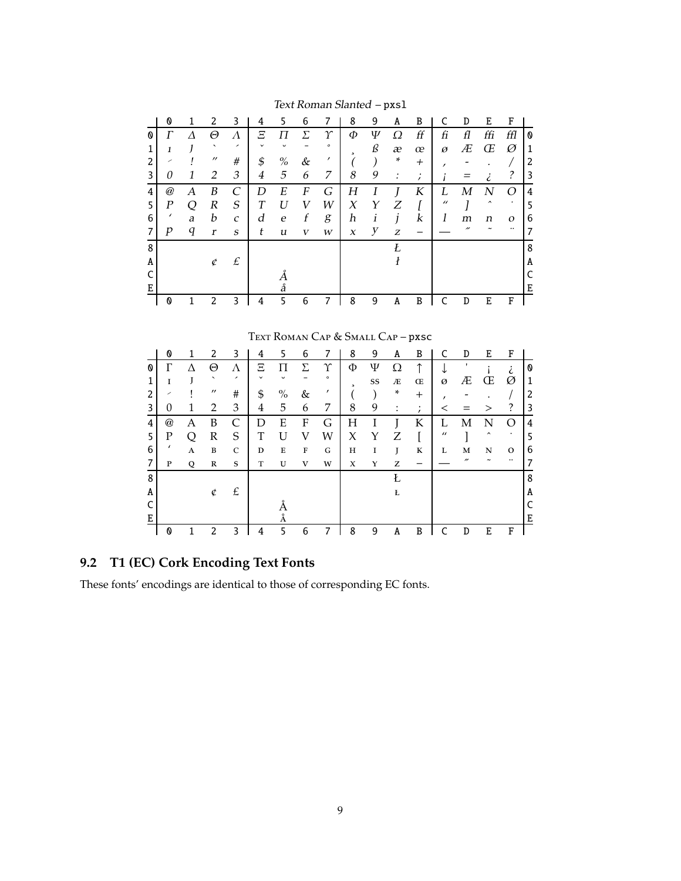|   | 0                                                     | 1 | 2                        | 3                        | 4              | 5                | 6            | 7                               | 8                        | 9  | A                        | B                     | C              | D                | E                        | F                |   |
|---|-------------------------------------------------------|---|--------------------------|--------------------------|----------------|------------------|--------------|---------------------------------|--------------------------|----|--------------------------|-----------------------|----------------|------------------|--------------------------|------------------|---|
| 0 | $\varGamma$                                           | Λ | Θ                        | $\Lambda$                | $\Xi$          | П                | Σ            | $\gamma$                        | Ф                        | Ψ  | Ω                        | f f                   | fi             | fl               | ffi                      | ffl              | 0 |
| 1 | $\mathbf{I}$                                          |   | ◟                        | ╭                        |                |                  |              | $\circ$                         |                          | ß  | æ                        | œ                     | ø              | Æ                | Œ                        | Ø                | 1 |
| 2 |                                                       |   | $^{\prime\prime}$        | #                        | \$             | $\%$             | $\&$         | ,                               | $\overline{\phantom{a}}$ |    | ÷                        | $^{+}$                | ,              |                  |                          |                  | 2 |
| 3 | $\theta$                                              | 1 | 2                        | 3                        | $\overline{4}$ | 5                | 6            | 7                               | 8                        | 9  | $\ddot{\cdot}$           | $\overline{ }$        |                | =                | i                        | $\tilde{?}$      | 3 |
| 4 | $^{\hspace{-0.5pt}a\hspace{-0.5pt}c\hspace{-0.5pt}c}$ | A | B                        | $\overline{C}$           | D              | E                | F            | G                               | Η                        | I  | J                        | K                     | L              | $\boldsymbol{M}$ | $\boldsymbol{N}$         | O                | 4 |
| 5 | $\boldsymbol{P}$                                      | Q | R                        | $\mathcal{S}_{0}$        | T              | U                | V            | W                               | $\chi$                   | Υ  | Ζ                        | I                     | $\prime\prime$ |                  | ㅅ                        |                  | 5 |
| 6 |                                                       | a | b                        | $\mathcal{C}$            | d              | $\boldsymbol{e}$ | f            | g                               | h                        | i  | j                        | $\boldsymbol{k}$      | 1              | m                | n                        | $\boldsymbol{O}$ | 6 |
| 7 | $\boldsymbol{p}$                                      | q | r                        | S                        | t              | u                | $\mathbf{V}$ | W                               | $\boldsymbol{x}$         | y  | Z                        |                       |                | "                |                          |                  | 7 |
| 8 |                                                       |   |                          |                          |                |                  |              |                                 |                          |    | Ł                        |                       |                |                  |                          |                  | 8 |
| A |                                                       |   | ¢                        | $\pounds$                |                |                  |              |                                 |                          |    | $\boldsymbol{\vartheta}$ |                       |                |                  |                          |                  | A |
| C |                                                       |   |                          |                          |                | Å                |              |                                 |                          |    |                          |                       |                |                  |                          |                  | C |
| E |                                                       |   |                          |                          |                | å                |              |                                 |                          |    |                          |                       |                |                  |                          |                  | Е |
|   | 0                                                     | 1 | 2                        | 3                        | 4              | 5                | 6            | 7                               | 8                        | 9  | A                        | B                     | C              | D                | E                        | F                |   |
|   |                                                       |   |                          |                          |                |                  |              |                                 |                          |    |                          |                       |                |                  |                          |                  |   |
|   |                                                       |   |                          |                          |                |                  |              | TEXT ROMAN CAP & SMALL CAP-pxsc |                          |    |                          |                       |                |                  |                          |                  |   |
|   |                                                       |   |                          |                          |                |                  |              |                                 |                          |    |                          |                       |                |                  |                          |                  |   |
|   | 0                                                     | 1 | 2                        | 3                        | 4              | 5                | 6            | 7                               | 8                        | 9  | A                        | B                     | C              | D                | E                        | F                |   |
| 0 | Γ                                                     | Λ | Θ                        | Λ                        | Ξ              | П                | Σ            | $\Upsilon$                      | Φ                        | Ψ  | Ω                        | ↑                     | ↓              | ,                |                          | i                | 0 |
| 1 | $\mathbf{I}$                                          |   | $\overline{\phantom{0}}$ | $\overline{\phantom{a}}$ |                |                  |              | $\circ$                         | $\overline{a}$           | SS | Æ                        | Œ                     | Ø              | Æ                | Œ                        | Ø                | 1 |
| 2 |                                                       |   | $^{\prime\prime}$        | #                        | \$             | $\frac{0}{0}$    | &            | ,                               |                          |    | *                        | $^{+}$                | ,              |                  |                          | 7                | 2 |
| 3 | $\theta$                                              | 1 | 2                        | 3                        | 4              | 5                | 6            | 7                               | 8                        | 9  | $\ddot{\cdot}$           | $\bullet$<br>$\prime$ | $\,<\,$        |                  | $\rm{>}$                 | ?                | 3 |
| 4 | $^{\textregistered}$                                  | Α | B                        | C                        | D              | E                | F            | G                               | Η                        |    |                          | K                     | L              | М                | N                        | O                | 4 |
|   | Ð                                                     |   | r                        | $\sqrt{2}$               | m.             | <b>TT</b>        | T T          | <b>TAT</b>                      | $\lambda$                |    |                          | п                     | $\prime\prime$ |                  | $\overline{\phantom{a}}$ |                  |   |

Text Roman Slanted - pxs1

|   | 0                    |   | 2                        | 3                        | 4            | 5    | 6           |         | 8      | 9  | A                    | B              | C              | D                        | E                   | F |   |
|---|----------------------|---|--------------------------|--------------------------|--------------|------|-------------|---------|--------|----|----------------------|----------------|----------------|--------------------------|---------------------|---|---|
| Ø |                      |   | Θ                        | Λ                        | Ξ            |      | $\Sigma$    | Υ       | Φ      | Ψ  | Ω                    | ↑              |                |                          |                     |   | O |
|   |                      |   | $\overline{\phantom{0}}$ | $\overline{\phantom{a}}$ | $\checkmark$ |      |             | $\circ$ | $\sim$ | SS | Æ                    | Œ              | Ø              | Æ                        | Œ                   | Ø | 1 |
| 2 | ╱                    |   | $^{\prime\prime}$        | #                        | \$           | $\%$ | &           | ,       |        |    | *                    | $\overline{+}$ |                |                          |                     |   | 2 |
| 3 | $\overline{0}$       |   | $\overline{2}$           | 3                        | 4            | 5    | 6           | 7       | 8      | 9  | $\bullet$<br>$\cdot$ | $\cdot$        |                |                          | >                   | ? | 3 |
| 4 | $^{\textregistered}$ | Α | B                        | C                        | D            | E    | F           | G       | Н      |    |                      | К              | L              | М                        | N                   | ∩ | 4 |
| 5 | Ρ                    | Ω | R                        | S                        | T            | U    | V           | W       | X      | Y  | Ζ                    |                | $\prime\prime$ |                          | $\hat{\phantom{a}}$ | ۰ | 5 |
| 6 | $\prime$             | A | B                        | C                        | D            | Е    | $\mathbf F$ | G       | H      | I  | J                    | К              | L              | M                        | N                   | О | 6 |
| 7 | P                    | Q | $\mathbb R$              | $\mathbf S$              | T            | U    | V           | W       | X      | Υ  | Z                    |                |                | $\overline{\phantom{a}}$ |                     |   | 7 |
| 8 |                      |   |                          |                          |              |      |             |         |        |    | Ł                    |                |                |                          |                     |   | 8 |
| A |                      |   | ¢                        | £                        |              |      |             |         |        |    | Ł                    |                |                |                          |                     |   | A |
|   |                      |   |                          |                          |              |      |             |         |        |    |                      |                |                |                          |                     |   | C |
| Ε |                      |   |                          |                          |              | Å    |             |         |        |    |                      |                |                |                          |                     |   | E |
|   | 0                    |   | 2                        | 3                        | 4            | 5    | 6           |         | 8      | 9  | A                    | B              |                | D                        | E                   | F |   |

## 9.2 T1 (EC) Cork Encoding Text Fonts

These fonts' encodings are identical to those of corresponding EC fonts.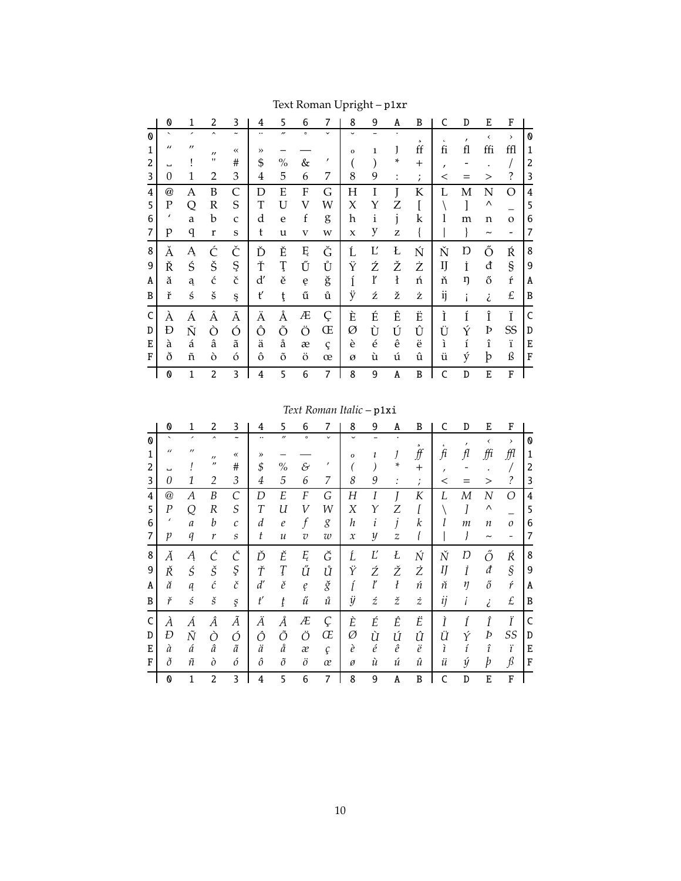|   | O                         | 1                        | 2                   | 3                     | 4         | 5                        | 6                       | 7            | 8              | 9               | A                  | B                 | C          | D                  | E                     | F                            |                       |
|---|---------------------------|--------------------------|---------------------|-----------------------|-----------|--------------------------|-------------------------|--------------|----------------|-----------------|--------------------|-------------------|------------|--------------------|-----------------------|------------------------------|-----------------------|
| O | $\overline{\phantom{0}}$  | $\overline{\phantom{0}}$ | $\hat{\phantom{a}}$ | $\tilde{\phantom{a}}$ |           | $\overline{\phantom{a}}$ | $\circ$                 | $\checkmark$ | $\overline{ }$ | ÷               | $\bullet$          | 5                 | $\epsilon$ |                    | $\langle$             | $\rightarrow$                | $\boldsymbol{\omega}$ |
| 1 | $\prime\prime$            | $^{\prime\prime}$        | $^{\prime\prime}$   |                       | $\rangle$ |                          |                         |              | $\mathbf{o}$   | 1               | J                  | ff                | fi         | fl                 | ffi                   | ffl                          | 1                     |
| 2 | $\overline{\phantom{0}}$  |                          | $^{\dagger}$        | #                     | \$        | $\%$                     | &                       | $\prime$     |                |                 | ÷                  | $+$               | $\prime$   |                    |                       |                              | 2                     |
| 3 | $\Omega$                  | 1                        | 2                   | 3                     | 4         | 5                        | 6                       | 7            | 8              | 9               | :                  | ٠<br>$\mathbf{r}$ | $\,<\,$    | $=$                | >                     | ?                            | 3                     |
| 4 | $^\text{\textregistered}$ | Α                        | B                   | $\mathsf{C}$          | D         | E                        | F                       | G            | Η              | I               | Ţ                  | K                 | L          | Μ                  | N                     | $\Omega$                     | $\overline{4}$        |
| 5 | Ρ                         | Q                        | $\mathbb R$         | S                     | T         | U                        | V                       | W            | Χ              | Υ               | Z                  | I                 |            |                    | Λ                     |                              | 5                     |
| 6 | $\prime$                  | a                        | b                   | $\mathsf{C}$          | d         | e                        | f                       | g            | h              | i               | j                  | $\mathbf k$       | 1          | m                  | n                     | $\mathbf O$                  | 6                     |
| 7 | p                         | q                        | r                   | S                     | t         | u                        | $\overline{\mathbf{V}}$ | W            | X              | y               | Z                  |                   |            |                    | $\tilde{\phantom{a}}$ | $\qquad \qquad \blacksquare$ | 7                     |
| 8 | Ă                         | Ą                        | Ć                   | Č                     | Ď         | Ě                        | Ę                       | Ğ            | Ĺ              | Ľ               | Ł                  | Ń                 | Ň          | Ŋ                  | Ő                     | Ŕ                            | 8                     |
| 9 | Ř                         | Ś                        | Š                   | Ş                     | Ť         | Ţ                        | Ű                       | Ů            | Ϋ              | Ź               | Ž                  | Ż                 | IJ         | İ                  | đ                     | §                            | 9                     |
| A | ă                         | ą                        | ć                   | č                     | ď         | ě                        | ę                       | ğ            | ĺ              | ľ               | $\pmb{\mathrm{t}}$ | ń                 | ň          | ŋ                  | ő                     | ŕ                            | A                     |
| B | ř                         | ś                        | š                   | ş                     | ť         | ţ                        | ű                       | ů            | ÿ              | ź               | ž                  | ż                 | ij         | i                  | i                     | £                            | B                     |
| C | À                         | Á                        | Â                   | Ã                     | Ä         | Å                        | Æ                       | Ç            | È              | É               | Ê                  | Ë                 | Ì          | Í                  | Î                     | Ï                            | C                     |
| D | Ð                         | Ñ                        | Ò                   | Ó                     | Ô         | Õ                        | Ö                       | Œ            | Ø              | Ù               | Ú                  | Û                 | Ü          | Ý                  | Þ                     | SS                           | D                     |
| E | à                         | á                        | â                   | ã                     | ä         | å                        | æ                       | ç            | è              | $\acute{\rm e}$ | ê                  | ë                 | ì          | $\acute{\text{1}}$ | $\hat{\textbf{\i}}$   | ï                            | E                     |
| F | ð                         | ñ                        | ò                   | ó                     | ô         | õ                        | ö                       | œ            | Ø              | ù               | ú                  | û                 | ü          | ý                  | þ                     | ß                            | F                     |
|   | 0                         | 1                        | $\overline{c}$      | 3                     | 4         | 5                        | 6                       | 7            | 8              | 9               | A                  | B                 | C          | D                  | E                     | F                            |                       |

## Text Roman Upright – p1xr

## *Text Roman Italic* – p1xi

|   | 0                        | 1                        | 2                   | 3                     | 4                | 5                 | 6              | 7              | 8                | 9           | A                | B                         | C            | D                | E                     | F                          |   |
|---|--------------------------|--------------------------|---------------------|-----------------------|------------------|-------------------|----------------|----------------|------------------|-------------|------------------|---------------------------|--------------|------------------|-----------------------|----------------------------|---|
| O | $\overline{\phantom{0}}$ | $\overline{\phantom{0}}$ | $\hat{\phantom{a}}$ | $\tilde{\phantom{a}}$ |                  | $^{\prime\prime}$ | $\circ$        | $\checkmark$   | U                |             |                  | 5                         |              | $\boldsymbol{r}$ | $\checkmark$          | $\,$                       | 0 |
|   | $\prime\prime$           | $^{\prime\prime}$        | $^{\prime\prime}$   | $\ll$                 | $\rightarrow$    |                   |                |                | 0                | ı           | J                | ∯                         | $\hat{h}$    | f <sub>l</sub>   | ffi                   | ffl                        | 1 |
| 2 |                          |                          | $^{\prime\prime}$   | $^{\#}$               | \$               | $\%$              | $\mathcal{E}$  | $\prime$       |                  |             | *                | $^{+}$                    | $\prime$     |                  |                       |                            | 2 |
| 3 | 0                        | 1                        | 2                   | 3                     | 4                | 5                 | 6              | 7              | 8                | 9           | $\vdots$         | $\bullet$<br>$\mathbf{r}$ | $\,<$        |                  | $\rm{>}$              | $\tilde{?}$                | 3 |
| 4 | $^{\textregistered}$     | А                        | B                   | $\overline{C}$        | D                | E                 | F              | G              | H                | Ι           |                  | Κ                         | L            | М                | N                     | O                          | 4 |
| 5 | P                        | Q                        | $\cal R$            | $\mathcal{S}_{0}$     | $\boldsymbol{T}$ | U                 | $\overline{V}$ | W              | X                | Υ           | Ζ                |                           |              | 1                | Λ                     |                            | 5 |
| 6 | $\prime$                 | $\mathfrak a$            | $\boldsymbol{b}$    | $\mathcal C$          | d                | $\ell$            | $\int$         | g              | $\boldsymbol{h}$ | ı           | j                | k                         |              | m                | n                     | $\boldsymbol{O}$           | 6 |
| 7 | p                        | q                        | $\boldsymbol{r}$    | $\boldsymbol{S}$      | t                | $\mathcal{U}$     | $\overline{v}$ | w              | $\mathcal{X}$    | y           | $\overline{z}$   |                           |              | ł                | $\tilde{\phantom{a}}$ | $\overline{a}$             | 7 |
| 8 | Ă                        | Ą                        | Ć                   | Č                     | Ď                | Ě                 | Ę              | Ğ              | Ĺ                | Ľ           | Ł                | Ń                         | Ň            | Ŋ                | Ő                     | Ŕ                          | 8 |
| 9 | Ř                        | $\acute{S}$              | Š                   | Ş                     | Ť                | Ţ                 | Ű              | Ů              | Ϋ                | Ź           | Ž                | Ż                         | $I$ <i>J</i> | İ                | đ                     | $\boldsymbol{\mathcal{S}}$ | 9 |
| A | ă                        | $\boldsymbol{a}$         | ć                   | č                     | $d^{\prime}$     | ě                 | ę              | ğ              | ĺ                | ľ           | $\boldsymbol{l}$ | ń                         | ň            | ŋ                | ő                     | ŕ                          | A |
| B | ř                        | $\acute{s}$              | $\check{s}$         | ş                     | $t^{\prime}$     | ţ                 | ű              | $\mathring{u}$ | ÿ                | ź           | ž                | $\dot{z}$                 | ij           | i                | i                     | £                          | B |
| C | À                        | Á                        | Â                   | Ã                     | Ä                | Å                 | Æ              | Ç              | È                | É           | Ê                | Ë                         | Ì            | Í                | Î                     | Ϊ                          | C |
| D | Đ                        | $\tilde{N}$              | Ò                   | Ó                     | Ô                | Õ                 | Ö              | Œ              | Ø                | Ù           | Ú                | Û                         | Ü            | Ý                | Þ                     | SS                         | D |
| E | à                        | á                        | â                   | $\tilde{a}$           | ä                | å                 | æ              | ç              | è                | $\acute{e}$ | $\hat{e}$        | $\ddot{e}$                | ì            | í                | $\hat{\imath}$        | ï                          | E |
| F | ð                        | ñ                        | $\partial$          | ó                     | ô                | õ                 | $\ddot{o}$     | œ              | ø                | ù           | ú                | û                         | ü            | ý                | þ                     | $\int$                     | F |
|   | 0                        | 1                        | $\overline{c}$      | 3                     | 4                | 5                 | 6              | 7              | 8                | 9           | A                | B                         | C            | D                | E                     | ${\bf F}$                  |   |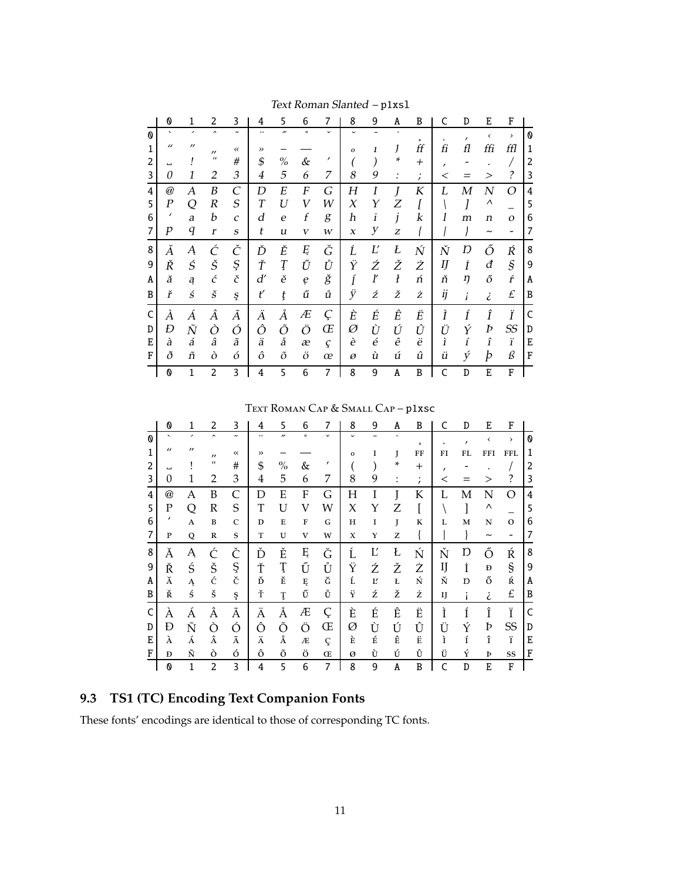|   | 0                       | 1                 | 2                   | 3                       | 4                | 5                        | 6                | 7            | 8            | 9          | A                | B                       | C              | D        | E                     | F                        |   |
|---|-------------------------|-------------------|---------------------|-------------------------|------------------|--------------------------|------------------|--------------|--------------|------------|------------------|-------------------------|----------------|----------|-----------------------|--------------------------|---|
| 0 | $\hat{\phantom{a}}$     | ╭                 | $\hat{\phantom{a}}$ | $\tilde{\phantom{a}}$   | $\cdot\cdot$     | $\overline{\phantom{a}}$ | $\circ$          | $\checkmark$ | $\checkmark$ |            |                  | $\mathfrak{s}$          | ı              | $\prime$ | $\checkmark$          | $\rightarrow$            | 0 |
| 1 | $\prime\prime$          | $^{\prime\prime}$ | $^{\prime\prime}$   | $\leftrightarrow$       | $\rightarrow$    |                          |                  |              | $\Omega$     | 1          | J                | ff                      | fi             | fl       | ffi                   | ffl                      | 1 |
| 2 | ്                       |                   | $^{\prime\prime}$   | $\#$                    | \$               | $\%$                     | &                | ,            |              |            | ÷                | $^{+}$                  | $\overline{ }$ |          |                       |                          | 2 |
| 3 | 0                       | 1                 | $\overline{2}$      | 3                       | 4                | 5                        | 6                | 7            | 8            | 9          | $\ddot{\cdot}$   | $\bullet$<br>$\epsilon$ | $\,<\,$        |          | $\geq$                | ?                        | 3 |
| 4 | $^{\hspace{0.01in}{a}}$ | А                 | B                   | $\mathcal{C}_{0}^{(n)}$ | D                | E                        | F                | G            | Η            | Ι          | I                | K                       | L              | M        | N                     | O                        | 4 |
| 5 | Ρ                       | Q                 | $\boldsymbol{R}$    | $\cal S$                | $\boldsymbol{T}$ | U                        | V                | W            | X            | Υ          | Ζ                |                         |                |          | Λ                     |                          | 5 |
| 6 | $\prime$                | a                 | b                   | $\mathcal{C}$           | d                | $\boldsymbol{e}$         | $\boldsymbol{f}$ | g            | h            | i          | j                | k                       |                | m        | n                     | $\mathcal{O}$            | 6 |
| 7 | р                       | q                 | $\boldsymbol{r}$    | $\boldsymbol{S}$        | t                | u                        | V                | W            | X            | у          | Z                |                         |                |          | $\tilde{\phantom{a}}$ | $\overline{\phantom{0}}$ | 7 |
| 8 | Ă                       | Ą                 | Ć                   | Č                       | Ď                | Ě                        | Ę                | Ğ            | Ĺ            | $L^\prime$ | Ł                | Ń                       | Ň              | Ŋ        | Ő                     | Ŕ                        | 8 |
| 9 | Ř                       | Ś                 | Š                   | Ş                       | Ť                | Ţ                        | Ű                | Ů            | Ϋ            | Ź          | Ž                | Ż                       | IJ             | İ        | đ                     | $\mathcal{S}_{0}$        | 9 |
| A | ă                       | ą                 | $\acute{c}$         | č                       | d'               | ě                        | ę                | ğ            | ĺ            | ľ          | $\boldsymbol{l}$ | ń                       | ň              | ŋ        | ő                     | ŕ                        | A |
| B | ř                       | ś                 | $\check{s}$         | ş                       | ť                | ţ                        | ű                | ů            | ÿ            | ź          | ž                | ż                       | ij             | i        | i                     | £                        | B |
| C | À                       | A                 | Â                   | Ã                       | Ä                | Å                        | Æ                | Ç            | È            | É          | Ê                | Ë                       | Ì              | Í        | Î                     | Ϊ                        | C |
| D | Ð                       | $\tilde{N}$       | Ò                   | Ó                       | Ô                | Õ                        | Ö                | Œ            | Ø            | Ù          | Ú                | Û                       | Ü              | Ý        | Þ                     | <b>SS</b>                | D |
| E | à                       | á                 | â                   | ã                       | ä                | å                        | æ                | ç            | è            | é          | ê                | ë                       | ì              | í        | $\hat{\mathbf{I}}$    | ï                        | Е |
| F | ð                       | ñ                 | ò                   | ó                       | ô                | õ                        | ö                | œ            | Ø            | ù          | ú                | û                       | ü              | ý        | þ                     | ß                        | F |
|   | 0                       | 1                 | 2                   | 3                       | 4                | 5                        | 6                | 7            | 8            | 9          | A                | B                       | Ċ              | D        | E                     | F                        |   |

Text Roman Slanted - p1xs1

TEXT ROMAN CAP & SMALL CAP - p1xsc

|   | 0                         | 1                 | 2                   | 3                     | 4         | 5                 | 6       | 7            | 8            | 9 | A | B                         | C          | D                | E                        | F             |   |
|---|---------------------------|-------------------|---------------------|-----------------------|-----------|-------------------|---------|--------------|--------------|---|---|---------------------------|------------|------------------|--------------------------|---------------|---|
| ⋒ | $\overline{\phantom{0}}$  | ,                 | $\hat{\phantom{a}}$ | $\tilde{\phantom{a}}$ |           | $^{\prime\prime}$ | $\circ$ | $\checkmark$ | $\checkmark$ |   |   | $\overline{\phantom{a}}$  | $\epsilon$ | $\prime$         | $\overline{\phantom{0}}$ | $\rightarrow$ | 0 |
| 1 | $\prime$                  | $^{\prime\prime}$ | $\prime$            |                       | $\rangle$ |                   |         |              | 0            | I | J | FF                        | FI         | FL               | FFI                      | <b>FFL</b>    | 1 |
| 2 | ш                         |                   | $^{\prime}$         | #                     | \$        | $\%$              | &       | $\prime$     |              |   | * | $^{+}$                    | ,          |                  |                          |               | 2 |
| 3 | 0                         | 1                 | 2                   | 3                     | 4         | 5                 | 6       | 7            | 8            | 9 | : | $\bullet$<br>$\mathbf{r}$ | $\,<$      |                  | >                        | ?             | 3 |
| 4 | $^\text{\textregistered}$ | Α                 | B                   | C                     | D         | E                 | F       | G            | Η            | I |   | K                         | L          | Μ                | N                        | О             | 4 |
| 5 | Ρ                         | Q                 | $\mathbb R$         | S                     | T         | U                 | V       | W            | X            | Υ | Z |                           |            |                  | Λ                        |               | 5 |
| 6 | $\prime$                  | A                 | $\bf{B}$            | $\mathsf{C}$          | D         | E                 | F       | G            | Н            | I | J | К                         | L          | M                | N                        | $\Omega$      | 6 |
| 7 | P                         | Q                 | $\mathbb R$         | S                     | T         | U                 | V       | W            | X            | Y | Z |                           |            |                  | $\tilde{\phantom{a}}$    | -             | 7 |
| 8 | Ă                         | Ą                 | Ć                   | Č                     | Ď         | Ě                 | Ę       | Ğ            | Ĺ            | Ľ | Ł | Ń                         | Ň          | Ŋ                | Ő                        | Ŕ             | 8 |
| 9 | Ř                         | Ś                 | Š                   | Ş                     | Ť         | Ţ                 | Ű       | Ů            | Ϋ            | Ź | Ž | Ż                         | IJ         | İ                | Đ                        | §             | 9 |
| A | Ă                         | Ą                 | ć                   | č                     | Ď         | Ě                 | Ę       | Ğ            | Ĺ            | Ľ | Ł | Ń                         | Ň          | Ŋ                | ő                        | Ŕ             | A |
| B | Ř                         | ś                 | š                   | ş                     | Ť         | Ţ                 | Ű       | Ů            | Ÿ            | ź | ž | ż                         | IJ         | i                | i                        | £             | B |
| C | À                         | Á                 | Â                   | Ã                     | Ä         | Å                 | Æ       | Ç            | È            | É | Ê | Ë                         | Ì          | Í                | Î                        | Ϊ             | C |
| D | Ð                         | Ñ                 | Ò                   | Ó                     | Ô         | Õ                 | Ö       | Œ            | Ø            | Ù | Ú | Û                         | Ü          | Ý                | Þ                        | SS            | D |
| E | À                         | Á                 | Â                   | $\tilde{\text{A}}$    | Ä         | Å                 | Æ       | Ç            | È            | É | Ê | Ë                         | ì          | $\acute{\rm{I}}$ | î                        | ï             | E |
| F | Đ                         | Ñ                 | ò                   | ó                     | ô         | õ                 | ö       | Œ            | Ø            | Ù | Ú | Û                         | Ü          | Ý                | Þ                        | SS            | F |
|   | 0                         | 1                 | $\overline{2}$      | 3                     | 4         | 5                 | 6       | 7            | 8            | 9 | A | B                         | C          | D                | E                        | F             |   |

## 9.3 TS1 (TC) Encoding Text Companion Fonts

These fonts' encodings are identical to those of corresponding TC fonts.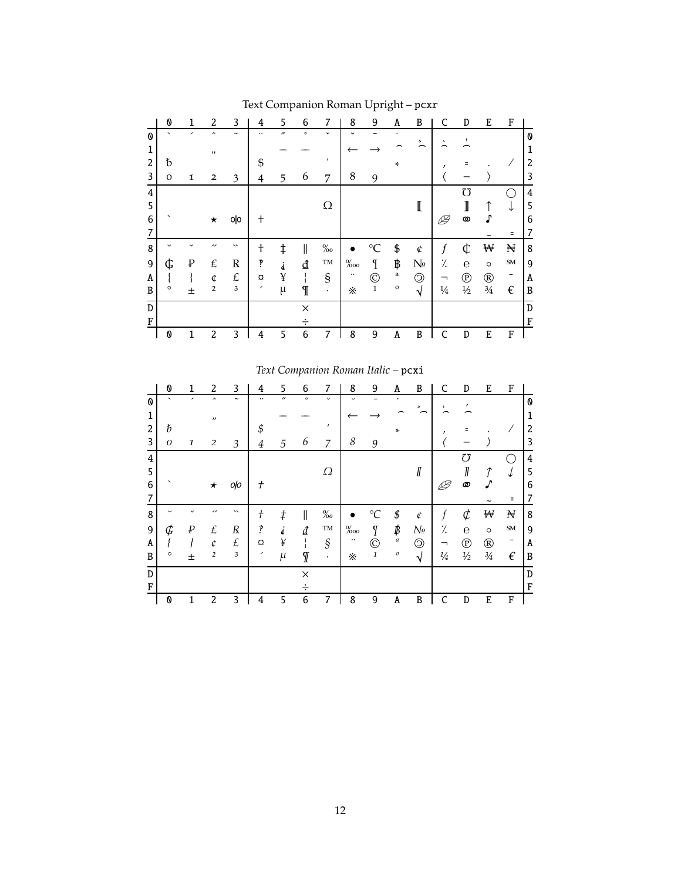|   | 0                        | 1            | 2                   | 3                     | 4        | 5                 | 6       | 7            | 8            | 9            | A            | B              | C             | D             | E              | F                        |   |
|---|--------------------------|--------------|---------------------|-----------------------|----------|-------------------|---------|--------------|--------------|--------------|--------------|----------------|---------------|---------------|----------------|--------------------------|---|
| 0 | $\overline{\phantom{0}}$ | ,            | $\hat{\phantom{a}}$ | $\tilde{\phantom{a}}$ |          | $^{\prime\prime}$ | $\circ$ | $\checkmark$ | $\checkmark$ |              |              | 5              | $\epsilon$    | ,             |                |                          | 0 |
| 1 |                          |              | п                   |                       |          |                   |         |              |              |              |              |                |               |               |                |                          | 1 |
| 2 | đ                        |              |                     |                       | \$       |                   |         |              |              |              | $\ast$       |                |               |               |                |                          | 2 |
| 3 | $\mathbf{O}$             | 1            | $\overline{2}$      | 3                     | 4        | 5                 | 6       | 7            | 8            | 9            |              |                |               |               |                |                          | 3 |
| 4 |                          |              |                     |                       |          |                   |         |              |              |              |              |                |               | $\sigma$      |                |                          | 4 |
| 5 |                          |              |                     |                       |          |                   |         | Ω            |              |              |              | I              |               | I             |                | ↓                        | 5 |
| 6 |                          |              | $\star$             | olo                   | +        |                   |         |              |              |              |              |                | ⊯             | 0             |                |                          | 6 |
| 7 |                          |              |                     |                       |          |                   |         |              |              |              |              |                |               |               |                |                          | 7 |
| 8 |                          | $\checkmark$ | ,,                  | $\checkmark$          | t        | $\ddagger$        | II      | $\%$         |              | $^{\circ}C$  | \$           | ¢              | f             | ¢             | ₩              | H                        | 8 |
| 9 | ¢                        | ₽            | £                   | $\mathbb{R}$          | ŗ        | Å.                | ₫       | TM           | $\%$ 00      | $\mathbf{I}$ | ₿            | $N_{\!\!2}$    | ٪.            | $\mathbf e$   | $\circ$        | ${\bf SM}$               | 9 |
| A |                          |              | ¢                   | £                     | $\alpha$ | ¥                 |         | $\S$         | $\cdots$     | O            | a            | $\circledcirc$ | ⇁             | $^\copyright$ | $^{\circledR}$ | $\overline{\phantom{a}}$ | A |
| B | O                        | 土            | $\overline{2}$      | $\mathbf{3}$          | ╭        | $\mu$             | I       | $\bullet$    | ፠            | $\mathbf 1$  | $\mathbf{o}$ | √              | $\frac{1}{4}$ | $\frac{1}{2}$ | $3/4$          | $\epsilon$               | B |
| D |                          |              |                     |                       |          |                   | X       |              |              |              |              |                |               |               |                |                          | D |
| F |                          |              |                     |                       |          |                   |         |              |              |              |              |                |               |               |                |                          | F |
|   | 0                        |              | 2                   | 3                     | 4        | 5                 | 6       | 7            | 8            | 9            | A            | B              | ۲             | D             | E              | F                        |   |

Text Companion Roman Upright – pcxr

*Text Companion Roman Italic* – pcxi

|   | 0                        | 1            | 2                   | 3                     | 4                        | 5                 | 6                | 7                      | 8            | 9             | A                                      | B                | C             | D             | E              | F          |   |
|---|--------------------------|--------------|---------------------|-----------------------|--------------------------|-------------------|------------------|------------------------|--------------|---------------|----------------------------------------|------------------|---------------|---------------|----------------|------------|---|
| 0 | $\overline{\phantom{0}}$ | ,            | $\hat{\phantom{a}}$ | $\tilde{\phantom{a}}$ |                          | $^{\prime\prime}$ | $\circ$          | $\checkmark$           | $\check{ }$  |               | ٠                                      | $\mathfrak{p}$   | $\pmb{\iota}$ |               |                |            | 0 |
| 1 |                          |              | $^{\prime\prime}$   |                       |                          |                   |                  |                        |              |               |                                        |                  |               |               |                |            | 1 |
| 2 | Ҍ                        |              |                     |                       | \$                       |                   |                  | ,                      |              |               | $\ast$                                 |                  | ,             |               |                |            | 2 |
| 3 | $\overline{O}$           | $\mathbf{1}$ | 2                   | 3                     | 4                        | 5                 | 6                | 7                      | 8            | 9             |                                        |                  |               |               |                |            | 3 |
| 4 |                          |              |                     |                       |                          |                   |                  |                        |              |               |                                        |                  |               | σ             |                |            | 4 |
| 5 |                          |              |                     |                       |                          |                   |                  | Ω                      |              |               |                                        | $I\!\!I$         |               | ∥             | T              | ↓          | 5 |
| 6 |                          |              | $\star$             | oļo                   | $^\mathrm{+}$            |                   |                  |                        |              |               |                                        |                  |               | ത             |                |            | 6 |
| 7 |                          |              |                     |                       |                          |                   |                  |                        |              |               |                                        |                  |               |               |                | Ξ          | 7 |
| 8 | $\check{ }$              |              | ,,                  | $\checkmark$          | $^{\mathrm{+}}$          | $\ddagger$        | II               | $\%o$                  |              | $^{\circ}C$   | $\rlap{\hspace{.04cm}/}{\rm I\!\!\!P}$ | ¢                | f             | ¢             | ₩              | N          | 8 |
| 9 | ¢                        | ₽            | £                   | $\boldsymbol{R}$      | p                        | d                 | ${\underline d}$ | $\mathbf{T}\mathbf{M}$ | $\%$ 00      | I             | ₿                                      | $N_{\! \varrho}$ | ٪.            | $\mathbf e$   | $\circ$        | ${\bf SM}$ | 9 |
| A |                          |              | ¢                   | £                     | O                        | ¥                 |                  | §                      | $\cdot\cdot$ | C             | $\boldsymbol{a}$                       | $\circledcirc$   | ᆨ             | $^\copyright$ | $^{\circledR}$ | -          | A |
| B | $\circ$                  | 士            | $\overline{c}$      | $\sqrt{3}$            | $\overline{\phantom{a}}$ | $\mu$             | Г                | $\bullet$              | ፠            | $\mathfrak 1$ | $\cal O$                               | $\sqrt{ }$       | $\frac{1}{4}$ | $1/2$         | $3/4$          | $\epsilon$ | B |
| D |                          |              |                     |                       |                          |                   | $\times$         |                        |              |               |                                        |                  |               |               |                |            | D |
| F |                          |              |                     |                       |                          |                   |                  |                        |              |               |                                        |                  |               |               |                |            | F |
|   | 0                        | 1            | 2                   | 3                     | 4                        | 5                 | 6                | 7                      | 8            | 9             | A                                      | B                | C             | D             | E              | F          |   |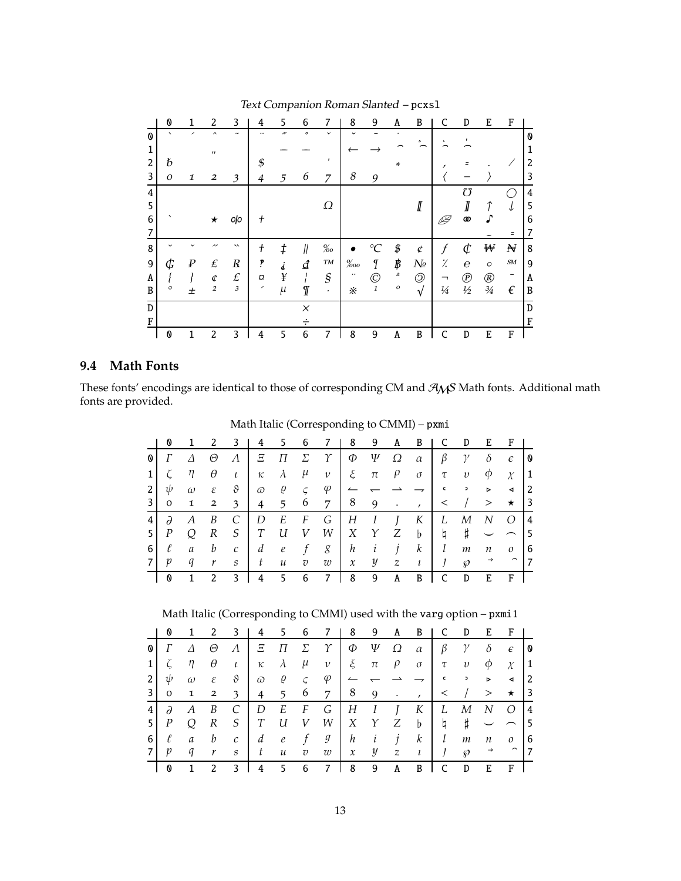|   | 0       |                  | 2                        | 3                     | 4             | 5     | 6        | 7                       | 8       | 9                | A         | B              |               | D                | E              | F          |   |
|---|---------|------------------|--------------------------|-----------------------|---------------|-------|----------|-------------------------|---------|------------------|-----------|----------------|---------------|------------------|----------------|------------|---|
| 0 | ◟       |                  | $\overline{\phantom{a}}$ | $\tilde{\phantom{a}}$ |               | "     | $\circ$  | $\checkmark$            |         |                  |           | s              | ٠             |                  |                |            | 0 |
| 1 |         |                  | $^{\prime\prime}$        |                       |               |       |          |                         |         |                  |           |                |               |                  |                |            | 1 |
| 2 | Ь       |                  |                          |                       | \$            |       |          |                         |         |                  | ¥         |                |               |                  |                |            | 2 |
| 3 | O       | 1                | $\overline{\mathbf{c}}$  | 3                     | 4             | 5     | 6        | 7                       | 8       | 9                |           |                |               |                  |                |            | 3 |
| 4 |         |                  |                          |                       |               |       |          |                         |         |                  |           |                |               | 75               |                |            | 4 |
| 5 |         |                  |                          |                       |               |       |          | Ω                       |         |                  |           | $I\!\!I$       |               |                  | 1              | ↓          | 5 |
| 6 |         |                  | $\star$                  | oļo                   | $^\mathrm{+}$ |       |          |                         |         |                  |           |                |               | Φ                |                |            | 6 |
| 7 |         |                  |                          |                       |               |       |          |                         |         |                  |           |                |               |                  |                | Ξ          | 7 |
| 8 |         |                  |                          | $\checkmark$          | t             | ŧ     | 11       | $\%o$                   |         | $\rm ^{o}C$      | \$        | ¢              | f             | $\varphi$        | ₩              | N          | 8 |
| 9 | ¢       | $\boldsymbol{P}$ | $\pounds$                | $\boldsymbol{R}$      | P             |       | ₫        | $\boldsymbol{T\!M}$     | $\%$ oo | I                | ₿         | $N_{2}$        | %             | $\boldsymbol{e}$ | $\circ$        | ${\it SM}$ | 9 |
| A |         |                  | ¢                        | $\pounds$             | O             | ¥     |          | $\mathcal{S}_{0}^{(n)}$ |         | $\copyright$     | a         | $\circledcirc$ |               | $^{\copyright}$  | $^{\circledR}$ | -          | A |
| B | $\circ$ | 土                | $\overline{2}$           | $\mathfrak{Z}$        | ╭             | $\mu$ | Г        | ٠                       | ፠       | $\boldsymbol{1}$ | $\cal{O}$ | $\sqrt{ }$     | $\frac{1}{4}$ | $1/2$            | $3/4$          | $\epsilon$ | B |
| D |         |                  |                          |                       |               |       | $\times$ |                         |         |                  |           |                |               |                  |                |            | D |
| F |         |                  |                          |                       |               |       |          |                         |         |                  |           |                |               |                  |                |            | F |
|   | 0       |                  | 2                        | 3                     | 4             | 5     | 6        | 7                       | 8       | 9                | A         | B              |               | D                | E              | F          |   |

#### Text Companion Roman Slanted – pcxsl

## **9.4 Math Fonts**

These fonts' encodings are identical to those of corresponding CM and  $\mathcal{A}_{M}S$  Math fonts. Additional math fonts are provided.

Math Italic (Corresponding to CMMI) – pxmi

|                | O                     |                |                         | 3             | 4        | 5                              | 6              | 7         | - 8 | - 9                | A | B                                                           |              | D                         | Ε                | F                       |           |
|----------------|-----------------------|----------------|-------------------------|---------------|----------|--------------------------------|----------------|-----------|-----|--------------------|---|-------------------------------------------------------------|--------------|---------------------------|------------------|-------------------------|-----------|
| 0              | Г                     | Δ              | Θ                       | $\Lambda$     | Ξ        | П                              | $\sum$         | $\gamma$  | Ф   | $\Psi$             | Ω | $\alpha$                                                    |              | $\beta$ $\gamma$          | $\delta$         | $\epsilon$              | <b>10</b> |
| 1 <sup>1</sup> |                       | $\zeta$ $\eta$ | $\theta$                | $\iota$       | $\kappa$ | $\lambda$ $\mu$                |                | $\nu$     |     | $\xi$ $\pi$ $\rho$ |   | $\sigma$                                                    | $\tau$       | $\boldsymbol{v}$          |                  | $\phi \chi$             | $\vert$ 1 |
| 2 <sub>1</sub> | ψ                     | $\omega$       | $\varepsilon$           | $\vartheta$   |          | $\omega$ $\varrho$ $\varsigma$ |                | $\varphi$ |     |                    |   | $\rightarrow$                                               | $\mathsf{C}$ | $\mathbf{z} = \mathbf{z}$ | $\triangleright$ | $\blacktriangleleft$    | $\vert$ 2 |
| 3              | $\mathbf{O}$          | $\mathbf{1}$   | $\overline{\mathbf{2}}$ |               |          |                                |                | 3 4 5 6 7 | 8 9 |                    |   | $\mathcal{L}(\mathcal{A})$ , $\mathcal{L}(\mathcal{A})$     | $\prec$      |                           | $>$ $\star$      |                         | 3         |
| 4 <sup>1</sup> | $\partial$            | A              | B                       | C             | D        | E                              | F              | G         |     | $H$ $I$ $J$        |   | $K \mid$                                                    | L            | М                         | N                | $\overline{O}$          | $\vert 4$ |
| <b>5</b> I     | $\boldsymbol{P}$      | Q              | R                       | S             | T        | U                              | V              | W         |     |                    |   | $X$ $Y$ $Z$ $b$                                             | $\natural$   | $\sharp$                  |                  | $\frown$                | $\vert$ 5 |
| <sup>6</sup>   | ℓ                     | $\mathfrak a$  | $\boldsymbol{b}$        | $\mathcal{C}$ |          |                                |                |           |     |                    |   | $d \quad e \quad f \quad g \quad h \quad i \quad j \quad k$ | l            | m                         | $\overline{n}$   | $\mathcal{O}$           | 6         |
| 7              | $\boldsymbol{p}$      | q              | r                       | S             |          | $t\quad u$                     | $\overline{v}$ | w         |     |                    |   | $x \quad y \quad z \quad t \quad y$                         |              | $\wp$                     | $\rightarrow$    | $\widehat{\phantom{a}}$ | 7         |
|                | $\boldsymbol{\Omega}$ | $\mathbf{1}$   | 2                       | 3             | 4        | 5 <sup>5</sup>                 | - 6            | 7         | 8   | 9                  | A | B                                                           | C            | D                         | Е                | $\mathbf{F}$            |           |

Math Italic (Corresponding to CMMI) used with the varg option – pxmi1

|                         | O                | 1             | 2              | 3             | 4              | 5.                         | 6              |                | 8                | 9                | A                | B           | C             | D             | E.               | F                       |                |
|-------------------------|------------------|---------------|----------------|---------------|----------------|----------------------------|----------------|----------------|------------------|------------------|------------------|-------------|---------------|---------------|------------------|-------------------------|----------------|
| 0                       |                  | Δ             | Θ              | $\Lambda$     | Ξ              | П                          | Σ              | $\gamma$       | Ф                | Ψ                | Ω                | $\alpha$    | β             | $\gamma$      | $\delta$         | $\epsilon$              | 10             |
| $1\vert$                |                  | η             | θ              | $\iota$       | к              | $\lambda$                  | $\mu$          | $\nu$          | ξ                | $\pi$            | $\rho$           | $\sigma$    | τ             | $\upsilon$    | φ                | $\chi$                  | 1              |
| 2                       | ψ                | $\omega$      | ε              | $\vartheta$   | $\varpi$       | Q                          | $\varsigma$    | φ              |                  |                  |                  |             | $\mathsf{c}$  | $\mathfrak s$ | $\triangleright$ | ◀                       | <sup>2</sup>   |
| $\overline{\mathbf{3}}$ | $\mathbf{O}$     | 1             | $\overline{2}$ | 3             | $\overline{4}$ | 5                          | 6              | $\overline{7}$ | 8                | 9                | $\bullet$        | $\prime$    | $\,<\,$       |               | >                | $\star$                 | $\vert$ 3      |
| 4                       | $\partial$       | A             | B              | C             | D              | E                          | F              | G              | $H_{\rm}$        | $\boldsymbol{I}$ | $\overline{1}$   | K           | L             | М             | N                | Ω                       | $\vert 4$      |
| 5                       | $\boldsymbol{P}$ |               | R              | S             | T              | U                          | V              | W              | X                | $\gamma$         | Ζ                | $\mathbf b$ | þ             | Ħ,            |                  |                         | l 5            |
| 6                       | ℓ                | $\mathfrak a$ | b              | $\mathcal{C}$ | d              | $\epsilon$                 |                | g              | $\boldsymbol{h}$ | $\iota$          | 1                | $\kappa$    | l             | m             | n                | $\mathcal{O}$           | 16             |
| 7                       | p                | q             | r              | S             | t              | $\boldsymbol{\mathcal{u}}$ | $\overline{v}$ | w              | $\mathcal{X}$    | y                | $\boldsymbol{z}$ | $\iota$     | $\mathcal{I}$ | $\wp$         | $\rightarrow$    | $\widehat{\phantom{m}}$ | $\overline{7}$ |
|                         | 0                |               | 2              | 3             | 4              | 5.                         | 6              | 7              | 8                | 9                | A                | B           |               | D             | E                | F                       |                |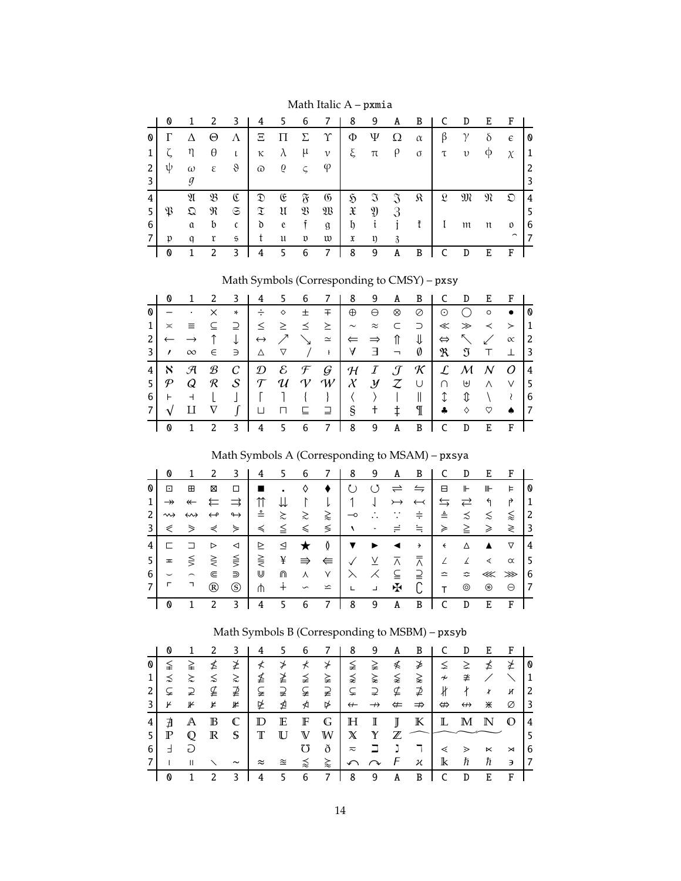|   | O |               | 2                          | 3              | 4              | 5.            | -6             | 7              | 8              | 9              | A              | B        | C             | D          | E | F                        |              |
|---|---|---------------|----------------------------|----------------|----------------|---------------|----------------|----------------|----------------|----------------|----------------|----------|---------------|------------|---|--------------------------|--------------|
| O |   |               | Θ                          | Λ              | Ξ              | П             | $\Sigma$       | $\Upsilon$     | Φ              | Ψ              | Ω              | $\alpha$ | β             | $\gamma$   | δ | $\epsilon$               | l 0          |
|   |   | η             | θ                          |                | κ              | $\lambda$     | $\mu$          | $\mathcal V$   | ξ              | $\pi$          | $\rho$         | $\sigma$ | $\tau$        | $\upsilon$ | φ | $\chi$                   | $\mathbf{1}$ |
| 2 | ψ | $\omega$      | $\boldsymbol{\varepsilon}$ | $\vartheta$    | $\varpi$       | 6             | $\varsigma$    | φ              |                |                |                |          |               |            |   |                          |              |
|   |   |               |                            |                |                |               |                |                |                |                |                |          |               |            |   |                          | 3            |
| 4 |   | N             | B                          | Œ              | $\mathfrak{D}$ | E             | $\mathfrak{F}$ | $\mathfrak{G}$ | $\mathfrak{H}$ | $\mathfrak{I}$ | $\mathfrak{I}$ | я        | $\mathcal{L}$ | M          | N | $\mathfrak D$            | 4            |
| 5 | К | $\mathfrak Q$ | R                          | $\mathfrak{S}$ | $\mathfrak X$  | $\mathfrak u$ | $\mathfrak{B}$ | $\mathfrak W$  | $\mathfrak{X}$ | $\mathfrak{Y}$ | 3              |          |               |            |   |                          | 5            |
| 6 |   | $\mathfrak a$ | b                          | $\mathfrak{c}$ | d              | e             |                | $\mathfrak{g}$ | b              | t              |                | ť        |               | m          | π | O                        | 6            |
|   | n | a             | r                          | $\mathfrak{s}$ |                | u             | v              | w              | X              | ŋ              | 3              |          |               |            |   | $\overline{\phantom{0}}$ |              |
|   | O |               | 2                          | 3              | 4              | 5             | 6              |                | 8              | 9              | A              | B        |               | D          | E | F                        |              |

Math Italic A – pxmia

Math Symbols (Corresponding to CMSY) – pxsy

|     | Ø                          |                        | <sup>2</sup>  | 3             | 4              | 56                |   | $\overline{7}$                                                                                                                                    | 89     |                     | $\mathbf{A}$   | B            |                | D                                                             | EFI             |               |                 |
|-----|----------------------------|------------------------|---------------|---------------|----------------|-------------------|---|---------------------------------------------------------------------------------------------------------------------------------------------------|--------|---------------------|----------------|--------------|----------------|---------------------------------------------------------------|-----------------|---------------|-----------------|
| 0   |                            | $\blacksquare$ .       | $\times$      | $\ast$        |                | $\div$ $\diamond$ | 土 | $\pm$                                                                                                                                             |        | $\oplus$ $\ominus$  | $\otimes$      | ⊘            | $\odot$        | $\bigcirc$                                                    | $\circ$         | $\bullet$     | 10              |
|     | $\asymp$                   | <b>E</b>               | $\subseteq$   |               |                |                   |   | $2 \leq \geq \leq \leq \geq$                                                                                                                      | $\sim$ | $\approx$ $\subset$ |                | $\supset$ +  |                | $\ll \gg \prec > 1$                                           |                 |               |                 |
|     | $\leftarrow$ $\rightarrow$ |                        | $\uparrow$    | $\downarrow$  |                |                   |   | $ \leftrightarrow \nearrow \searrow z  \Leftarrow \Rightarrow \uparrow$                                                                           |        |                     |                | $\downarrow$ |                | $\Leftrightarrow \quad \diagdown\quad \swarrow \quad \propto$ |                 |               | $\overline{2}$  |
| 3 I | $\prime$                   | $\infty$               |               |               |                |                   |   | $\in$ $\exists$ $\bot$ $\vee$ $\bot$ $\bot$ $\bot$ $\exists$ $\bot$                                                                               |        |                     |                |              |                | $\emptyset$   $\mathfrak{R}$ $\mathfrak{I}$ T $\bot$          |                 |               | $\vert$ 3       |
|     | $\aleph$                   | $\mathcal{A}$          | $\mathcal{B}$ | $\mathcal{C}$ |                |                   |   | $\mathcal{D} \quad \mathcal{E} \quad \mathcal{F} \quad \mathcal{G} \mid \mathcal{H} \quad I \quad \mathcal{J} \quad \mathcal{K} \mid \mathcal{L}$ |        |                     |                |              |                | M N O   4                                                     |                 |               |                 |
| 51  | $\mathcal{P}^-$            | Q                      |               |               |                |                   |   | $R$ $S$   $T$ $U$ $V$ $W$   $X$ $Y$ $Z$ $U$                                                                                                       |        |                     |                |              | $\cap$         | ⊎ ∧ ∨  5                                                      |                 |               |                 |
| 6   | $\vdash$                   | $-$                    | t             |               |                |                   |   |                                                                                                                                                   |        |                     |                | $\parallel$  | $\updownarrow$ | $\mathbb{I}$ \                                                |                 | $\mathcal{L}$ | l 6             |
| 7 I |                            | $\sqrt{ }$ II $\nabla$ |               |               |                |                   |   |                                                                                                                                                   |        |                     |                |              |                | $\clubsuit \diamond \diamond \heartsuit \spadesuit$           |                 |               | $\overline{17}$ |
|     | 0                          | 1                      | 2             | 3             | $\overline{4}$ | 5 6               |   |                                                                                                                                                   | 7   8  | 9                   | $\overline{A}$ | B            | C              | D                                                             | $E$ $F$ $\vert$ |               |                 |

## Math Symbols A (Corresponding to MSAM) – pxsya

|                | Ø                       | 1                       | 2                 | 3                 | 4          | 5.                          | 6             | 7                   | 8                        | 9                        | A                    | B                    |                    | D                  | E                | $\mathbf{F}$  |           |
|----------------|-------------------------|-------------------------|-------------------|-------------------|------------|-----------------------------|---------------|---------------------|--------------------------|--------------------------|----------------------|----------------------|--------------------|--------------------|------------------|---------------|-----------|
| 0              | ⊡                       | ⊞                       | ⊠                 | □                 |            | $\bullet$                   | ♦             | ٠                   |                          | O                        | $\Rightarrow$        | $\leftrightharpoons$ | Β                  | ⊩                  | ⊪                | Þ.            | 10        |
| $\mathbf{1}$   | $\rightarrow$           | $\leftarrow$            | ⇇                 | $\Rightarrow$     | $\uparrow$ | ⇊                           | $\sqrt{1}$    | L                   | 1                        |                          | $\rightarrowtail$    | $\leftarrow$         | $\leftrightarrows$ | $\rightleftarrows$ | $\mathcal{A}$    | Ļ,            | l 1       |
| $\mathbf{2}$   | $\rightsquigarrow$      | $\leftrightarrow$       | $\leftrightarrow$ | $\leftrightarrow$ | ≗          | $\lambda$                   | $\gtrsim$     | $\gtrapprox$        | $\overline{\phantom{0}}$ | $\ddot{\phantom{0}}$     |                      | ≑                    | $\triangleq$       | $\precsim$         | $\lesssim$       | $\lessapprox$ | 2         |
| $\overline{3}$ | ⋞                       | $\geq$                  | ⋞                 | ⋟                 | $\leq$     | $\leq$                      | $\leq$        | $\leq$   $\sqrt{ }$ |                          |                          |                      | ≒                    | $\geqslant$        | $\geq$             | $\geqslant$      | ≷             | $\vert$ 3 |
| 4              | E.                      | ⊐                       | $\triangleright$  | $\triangleleft$   | ⊵          | $\triangleq$                | $\star$       | $\phi$              | $\blacktriangledown$     | $\rightarrow$            | $\blacktriangleleft$ | $\rightarrow$        | $\leftarrow$       | Δ                  | $\blacktriangle$ | $\nabla$      | ا 4       |
| 5 <sub>1</sub> | $\overline{\mathbf{r}}$ | $\leq$                  | $\geq$            | $\leq$            |            | $\leqslant$ $\qquad$ $\neq$ | $\Rightarrow$ | ⇚                   | $\checkmark$             | $\overline{\Lambda}$     | $\overline{\wedge}$  | ⊼                    | $\angle$           | L                  | ∢                | $\alpha$      | ۱5        |
| 6              | $\check{ }$             | $\widehat{\phantom{m}}$ | ⋐                 | ⋑                 | ⋓          | ⋒                           | 人             | $\vee$              | $\lambda$                | $\overline{\mathcal{K}}$ | $\subseteq$          | ⊇                    | $\cong$            |                    | ≎ ≪ ≫            |               | <b>16</b> |
| $\overline{7}$ | г                       |                         | ®                 | $\circledS$       | ⋔          | $\pm$                       | $\backsim$    | $\leq$              | L.                       | $\Box$                   | Æ                    |                      | T                  | $^{\circ}$         | ⊛                | $\Theta$      | 17        |
|                | O                       | 1                       | 2                 | 3                 | 4          | 5.                          | -6            | 7                   | 8                        | 9                        | A                    | B                    | C                  | D                  | Ε                | $\mathbf{F}$  |           |

## Math Symbols B (Corresponding to MSBM) – pxsyb

|              | 0            |              |             | 3                     | 4               | 5         | 6             |   | 8                 | 9                  | A            | B             |                           | D                 | Е           | F            |    |
|--------------|--------------|--------------|-------------|-----------------------|-----------------|-----------|---------------|---|-------------------|--------------------|--------------|---------------|---------------------------|-------------------|-------------|--------------|----|
| O            |              | ≩            | ≰           | ≱                     | ≮               | ≯         | $\star$       | ⊁ | ≨                 | ≩                  | ≰            | ≱             | ≤                         | ≥                 | ≰           | ≱            | 0  |
|              | ⋨            | $\gtrsim$    |             | ≳                     | ≸               | ≱         | ≨             | ≩ | ⋨                 | ⋩                  | ⋦            | ⋧             | $\boldsymbol{\downarrow}$ | ≇                 |             |              | 1  |
| 2            | ⊊            | ⊋            | ⊈           | ⊉                     | ⊊               | ⊋         | ⊊             | ⊋ | ⊊                 | ⊋                  | ⊈            | ⊉             | $\#$                      | ł                 | ł           | И            | 2  |
| $\mathbf{3}$ | Y            | ⊮            | ⊭           | ⊭                     | 坠               | ⋬         | ⋪             | ⋫ | $\leftarrow$      | $\rightarrow$      | $\leftarrow$ | $\Rightarrow$ | ⇔                         | $\leftrightarrow$ | ⋇           | Ø            | 3  |
| 4            | ∄            | A            | $\mathbb B$ | C                     | $_{\mathbb{D}}$ | E         | F             | G | Η                 | I                  | J            | К             | L                         | $\mathbb M$       | $\mathbb N$ | $\mathbb{O}$ | 4  |
| 5            | $\mathbb{P}$ | Q            | $\mathbb R$ | S                     | Т               | U         | $\mathbb {V}$ | W | $\mathbb X$       | $\mathbb{Y}$       | $\mathbb Z$  |               |                           |                   |             |              |    |
| 6            | E.           | G            |             |                       |                 |           |               | ð | $\overline{\sim}$ |                    |              |               | ⋖                         | ⋗                 | $\ltimes$   | $\rtimes$    | 6  |
|              |              | $\mathbf{H}$ |             | $\tilde{\phantom{a}}$ | $\approx$       | $\approx$ | వ             | ⋩ | $\curvearrowleft$ | $\curvearrowright$ | F            | κ             | $\mathbbm{k}$             | ħ                 | ħ           | Э            | ۱7 |
|              | 0            |              | 2           | 3                     | 4               | 5.        | 6             |   | 8                 | 9                  | A            | B             | C                         | D                 | Ε           | F            |    |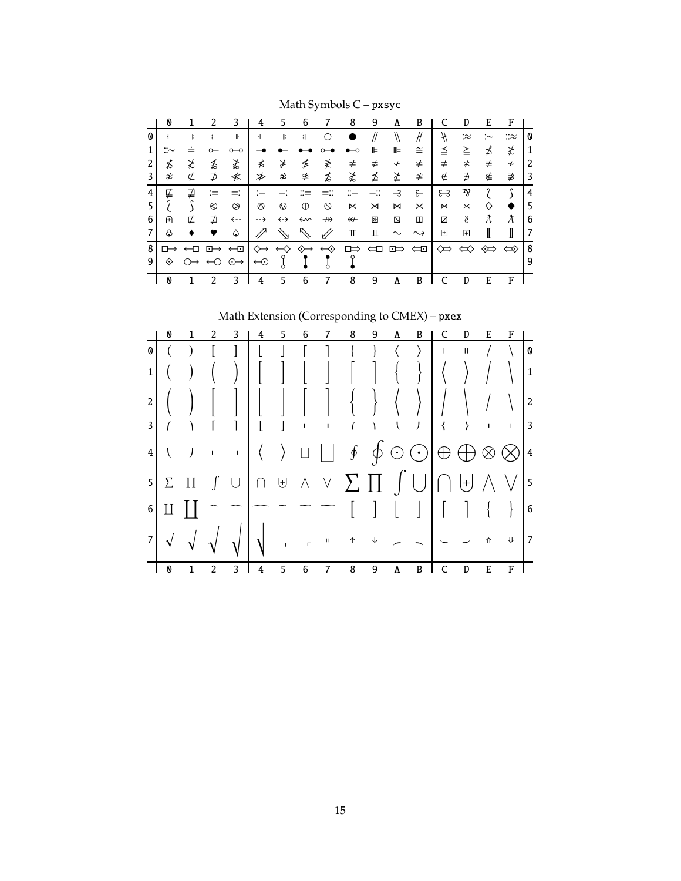|   | O |   | 2                 | 3                   | 4        |    | 6  |                   | 8                | 9 | A  | B        |           | D             | E  | F      |   |
|---|---|---|-------------------|---------------------|----------|----|----|-------------------|------------------|---|----|----------|-----------|---------------|----|--------|---|
| 0 |   |   |                   | ⊪                   | ╢        | ╠  | 11 |                   |                  |   |    | #        | H         | :≈            | :∼ | ∷≈     | O |
| 1 |   |   |                   |                     |          |    |    |                   |                  | ⊫ | ⊪  | ≅        |           | ≧             | ≴  | ≵      | 1 |
| 2 | ≴ | ≵ | ≴                 | ≵                   | ⊀        | ⋡  | ≸  | ≹                 | ≠                | ≠ | ∱  | ≠        | $\neq$    | $\,$ $\,\neq$ | ≢  | $\tau$ | 2 |
| 3 | ≉ | ⊄ | ⊅                 | ≮                   | ≯        | ≉  | ≇  | ≴                 | ≵                | ≰ | ≱  | ≄        | ∉         | ∌             | ∉  | ∌      | 3 |
| 4 | ⋢ | ⊉ |                   |                     |          |    |    |                   |                  |   | -3 | ع        | ೫         | zz            | 2  | e      | 4 |
|   |   |   | €                 | ◎                   | ခ        | စ  | ⋔  | ᠗                 | ⋉                | ⋊ | ⋈  | $\times$ | $\bowtie$ | $\times$      | ♦  |        | 5 |
| 6 | A | ⋢ | ⊅                 | ← ÷                 | --→      | ←→ | ⇜  | $\nrightarrow$    | $\overline{\bf}$ | 困 | ⊠  | ◫        | ☑         | ß             | λ  | λ      | 6 |
|   | ♧ |   |                   | ۵                   |          |    | ↖  |                   | π                | Ш |    |          | 田         | 田             | I  | I      | 7 |
| 8 |   |   | ஈ                 | ←⊡                  |          | ↢  | ↭  | $\leftrightarrow$ | □⇒               |   | ⊡⇒ | ⇔⊡       | ⇔         | ⇔             | ↭  | ⇔      | 8 |
| 9 | ◇ |   | $\leftrightarrow$ | $\odot \rightarrow$ | $\Theta$ |    |    |                   |                  |   |    |          |           |               |    |        | 9 |
|   | O |   | 2                 | 3                   | 4        | 5  | 6  | 7                 | 8                | 9 | A  | B        |           | D             | E  | F      |   |

Math Symbols C – pxsyc

# Math Extension (Corresponding to CMEX) – pxex

|                         | 0 |         |                | 3            | 4 | 5             | 6                      |                                                                                                                                                                                                                                                                                                                                                                                                                        | 8 | 9 | A | B                                                         |              | D            | E | F           |                         |
|-------------------------|---|---------|----------------|--------------|---|---------------|------------------------|------------------------------------------------------------------------------------------------------------------------------------------------------------------------------------------------------------------------------------------------------------------------------------------------------------------------------------------------------------------------------------------------------------------------|---|---|---|-----------------------------------------------------------|--------------|--------------|---|-------------|-------------------------|
| 0                       |   |         |                |              |   |               |                        |                                                                                                                                                                                                                                                                                                                                                                                                                        |   |   |   | $\rightarrow$                                             | $\mathbf{I}$ | $\mathbf{I}$ |   |             | $\boldsymbol{\theta}$   |
| $\mathbf 1$             |   |         |                |              |   |               |                        |                                                                                                                                                                                                                                                                                                                                                                                                                        |   |   |   |                                                           |              |              |   |             | $\mathbf{1}$            |
| $\overline{2}$          |   |         |                |              |   |               |                        |                                                                                                                                                                                                                                                                                                                                                                                                                        |   |   |   |                                                           |              |              |   |             | $\overline{2}$          |
| 3                       |   |         |                |              |   |               | $\mathbf{I}$           |                                                                                                                                                                                                                                                                                                                                                                                                                        |   |   |   | $\mathcal{F}$                                             | ₹            |              |   | $\mathsf I$ | $\overline{\mathbf{3}}$ |
| $\overline{\mathbf{4}}$ |   | J       | $\blacksquare$ | $\mathbf{u}$ |   | $\rightarrow$ |                        |                                                                                                                                                                                                                                                                                                                                                                                                                        |   |   |   | $\oint \phi \odot \bigcirc \phi \oplus \phi \otimes \phi$ |              |              |   |             | $\overline{4}$          |
| $\overline{5}$          | Σ | $\prod$ |                | $\int$ U     |   |               |                        | $\textbf{H} \textbf{A} \textbf{B} \textbf{C} \textbf{C} \textbf{C} \textbf{D} \textbf{C} \textbf{D} \textbf{C} \textbf{D} \textbf{C} \textbf{D} \textbf{D} \textbf{C} \textbf{D} \textbf{D} \textbf{D} \textbf{D} \textbf{D} \textbf{D} \textbf{D} \textbf{D} \textbf{D} \textbf{D} \textbf{D} \textbf{D} \textbf{D} \textbf{D} \textbf{D} \textbf{D} \textbf{D} \textbf{D} \textbf{D} \textbf{D} \textbf{D} \textbf{$ |   |   |   |                                                           |              |              |   |             | $\vert$ 5               |
| 6                       |   |         |                |              |   |               |                        |                                                                                                                                                                                                                                                                                                                                                                                                                        |   |   |   | $\frac{1}{2}$                                             |              |              |   |             | $6\phantom{.}6$         |
| $\overline{7}$          |   |         |                |              |   |               | $\sqrt{1-\frac{1}{2}}$ | $\,$ H                                                                                                                                                                                                                                                                                                                                                                                                                 |   |   |   |                                                           |              |              |   |             | 7                       |
|                         | 0 |         | 2              | 3            |   | 5             | 6                      | 7                                                                                                                                                                                                                                                                                                                                                                                                                      | 8 | 9 | A | B                                                         |              | D            | E | F           |                         |